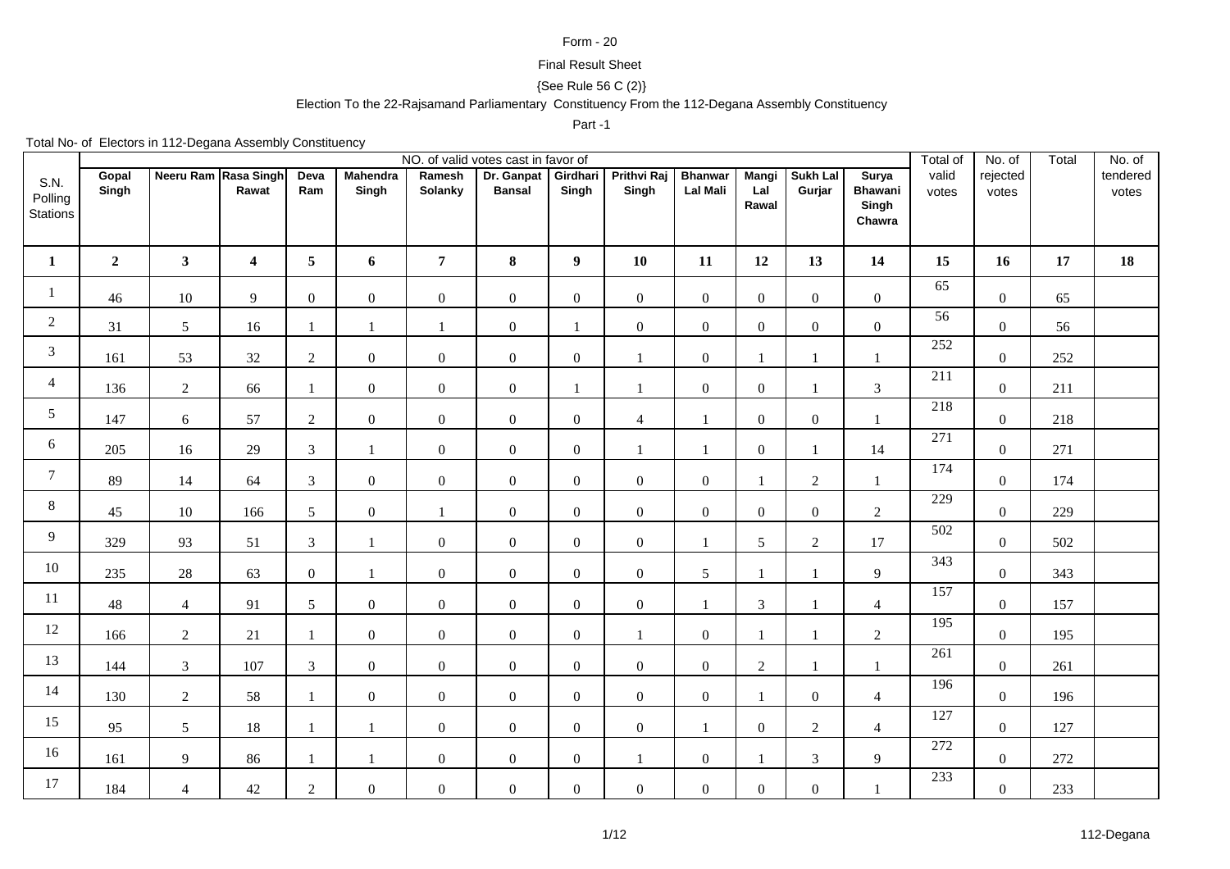## Form - 20

## Final Result Sheet

## {See Rule 56 C (2)}

## Election To the 22-Rajsamand Parliamentary Constituency From the 112-Degana Assembly Constituency

Part -1

Total No- of Electors in 112-Degana Assembly Constituency

|                                    |                |                      |                  |                 |                          |                   | NO. of valid votes cast in favor of |                   |                             |                                   |                              |                    |                                                   | Total of         | No. of            | Total | No. of            |
|------------------------------------|----------------|----------------------|------------------|-----------------|--------------------------|-------------------|-------------------------------------|-------------------|-----------------------------|-----------------------------------|------------------------------|--------------------|---------------------------------------------------|------------------|-------------------|-------|-------------------|
| S.N.<br>Polling<br><b>Stations</b> | Gopal<br>Singh | Neeru Ram Rasa Singh | Rawat            | Deva<br>Ram     | <b>Mahendra</b><br>Singh | Ramesh<br>Solanky | Dr. Ganpat<br><b>Bansal</b>         | Girdhari<br>Singh | <b>Prithvi Raj</b><br>Singh | <b>Bhanwar</b><br><b>Lal Mali</b> | <b>Mangi</b><br>Lal<br>Rawal | Sukh Lal<br>Gurjar | <b>Surya</b><br><b>Bhawani</b><br>Singh<br>Chawra | valid<br>votes   | rejected<br>votes |       | tendered<br>votes |
| $\mathbf{1}$                       | $\mathbf{2}$   | $\mathbf{3}$         | $\boldsymbol{4}$ | $5\overline{)}$ | 6                        | $\overline{7}$    | 8                                   | $\boldsymbol{9}$  | 10                          | 11                                | 12                           | 13                 | 14                                                | 15               | 16                | 17    | 18                |
| $\mathbf{1}$                       | 46             | 10                   | 9                | $\overline{0}$  | $\overline{0}$           | $\boldsymbol{0}$  | $\boldsymbol{0}$                    | $\boldsymbol{0}$  | $\boldsymbol{0}$            | $\overline{0}$                    | $\overline{0}$               | $\boldsymbol{0}$   | $\boldsymbol{0}$                                  | 65               | $\mathbf{0}$      | 65    |                   |
| $\overline{2}$                     | 31             | 5                    | 16               | 1               | 1                        | $\mathbf{1}$      | $\boldsymbol{0}$                    | $\mathbf{1}$      | $\mathbf{0}$                | $\overline{0}$                    | $\mathbf{0}$                 | $\mathbf{0}$       | $\boldsymbol{0}$                                  | 56               | $\mathbf{0}$      | 56    |                   |
| 3                                  | 161            | 53                   | 32               | $\overline{2}$  | $\mathbf{0}$             | $\boldsymbol{0}$  | $\boldsymbol{0}$                    | $\boldsymbol{0}$  | $\mathbf{1}$                | $\overline{0}$                    | $\mathbf{1}$                 | $\mathbf{1}$       | $\mathbf{1}$                                      | 252              | $\mathbf{0}$      | 252   |                   |
| $\overline{4}$                     | 136            | $\sqrt{2}$           | 66               | 1               | $\overline{0}$           | $\boldsymbol{0}$  | $\boldsymbol{0}$                    | $\mathbf{1}$      | 1                           | $\overline{0}$                    | $\mathbf{0}$                 | 1                  | $\overline{3}$                                    | 211              | $\mathbf{0}$      | 211   |                   |
| 5                                  | 147            | 6                    | 57               | $\overline{2}$  | $\mathbf{0}$             | $\boldsymbol{0}$  | $\boldsymbol{0}$                    | $\boldsymbol{0}$  | $\overline{4}$              |                                   | $\overline{0}$               | $\boldsymbol{0}$   | $\mathbf{1}$                                      | 218              | $\mathbf{0}$      | 218   |                   |
| 6                                  | 205            | 16                   | 29               | $\overline{3}$  |                          | $\boldsymbol{0}$  | $\boldsymbol{0}$                    | $\boldsymbol{0}$  | $\mathbf{1}$                |                                   | $\boldsymbol{0}$             |                    | 14                                                | 271              | $\boldsymbol{0}$  | 271   |                   |
| $\overline{7}$                     | 89             | 14                   | 64               | $\overline{3}$  | $\mathbf{0}$             | $\boldsymbol{0}$  | $\boldsymbol{0}$                    | $\boldsymbol{0}$  | $\boldsymbol{0}$            | $\overline{0}$                    | $\mathbf{1}$                 | $\overline{2}$     | $\mathbf{1}$                                      | 174              | $\mathbf{0}$      | 174   |                   |
| 8                                  | 45             | $10\,$               | 166              | 5 <sup>5</sup>  | $\mathbf{0}$             | $\mathbf{1}$      | $\boldsymbol{0}$                    | $\boldsymbol{0}$  | $\mathbf{0}$                | $\overline{0}$                    | $\overline{0}$               | $\boldsymbol{0}$   | $\overline{2}$                                    | 229              | $\mathbf{0}$      | 229   |                   |
| 9                                  | 329            | 93                   | 51               | $\overline{3}$  | $\mathbf{1}$             | $\boldsymbol{0}$  | $\boldsymbol{0}$                    | $\boldsymbol{0}$  | $\boldsymbol{0}$            |                                   | 5                            | $\sqrt{2}$         | 17                                                | 502              | $\boldsymbol{0}$  | 502   |                   |
| 10                                 | 235            | $28\,$               | 63               | $\overline{0}$  | 1                        | $\boldsymbol{0}$  | $\mathbf{0}$                        | $\overline{0}$    | $\overline{0}$              | $5\overline{)}$                   | $\mathbf{1}$                 | $\mathbf{1}$       | 9                                                 | $\overline{343}$ | $\mathbf{0}$      | 343   |                   |
| 11                                 | 48             | $\overline{4}$       | 91               | 5               | $\boldsymbol{0}$         | $\boldsymbol{0}$  | $\boldsymbol{0}$                    | $\boldsymbol{0}$  | $\boldsymbol{0}$            |                                   | 3                            |                    | $\overline{4}$                                    | 157              | $\boldsymbol{0}$  | 157   |                   |
| 12                                 | 166            | $\overline{2}$       | 21               | 1               | $\mathbf{0}$             | $\boldsymbol{0}$  | $\boldsymbol{0}$                    | $\mathbf{0}$      | $\mathbf{1}$                | $\overline{0}$                    | $\mathbf{1}$                 | $\mathbf{1}$       | $\overline{2}$                                    | 195              | $\mathbf{0}$      | 195   |                   |
| 13                                 | 144            | $\mathfrak{Z}$       | 107              | $\mathfrak{Z}$  | $\mathbf{0}$             | $\boldsymbol{0}$  | $\boldsymbol{0}$                    | $\boldsymbol{0}$  | $\boldsymbol{0}$            | $\overline{0}$                    | $\sqrt{2}$                   | $\mathbf{1}$       | $\mathbf{1}$                                      | $\overline{261}$ | $\mathbf{0}$      | 261   |                   |
| 14                                 | 130            | $\overline{2}$       | 58               | $\mathbf{1}$    | $\mathbf{0}$             | $\boldsymbol{0}$  | $\mathbf{0}$                        | $\boldsymbol{0}$  | $\mathbf{0}$                | $\overline{0}$                    | $\mathbf{1}$                 | $\boldsymbol{0}$   | $\overline{4}$                                    | 196              | $\mathbf{0}$      | 196   |                   |
| 15                                 | 95             | 5                    | 18               |                 | 1                        | $\boldsymbol{0}$  | $\boldsymbol{0}$                    | $\boldsymbol{0}$  | $\boldsymbol{0}$            |                                   | $\boldsymbol{0}$             | $\overline{2}$     | $\overline{4}$                                    | 127              | $\boldsymbol{0}$  | 127   |                   |
| 16                                 | 161            | $\overline{9}$       | 86               |                 | $\mathbf{1}$             | $\boldsymbol{0}$  | $\boldsymbol{0}$                    | $\mathbf{0}$      | $\mathbf{1}$                | $\mathbf{0}$                      | $\mathbf{1}$                 | $\mathfrak{Z}$     | 9                                                 | 272              | $\mathbf{0}$      | 272   |                   |
| 17                                 | 184            | $\overline{4}$       | 42               | $\overline{2}$  | $\boldsymbol{0}$         | $\boldsymbol{0}$  | $\boldsymbol{0}$                    | $\boldsymbol{0}$  | $\boldsymbol{0}$            | $\overline{0}$                    | $\boldsymbol{0}$             | $\boldsymbol{0}$   | $\mathbf{1}$                                      | 233              | $\boldsymbol{0}$  | 233   |                   |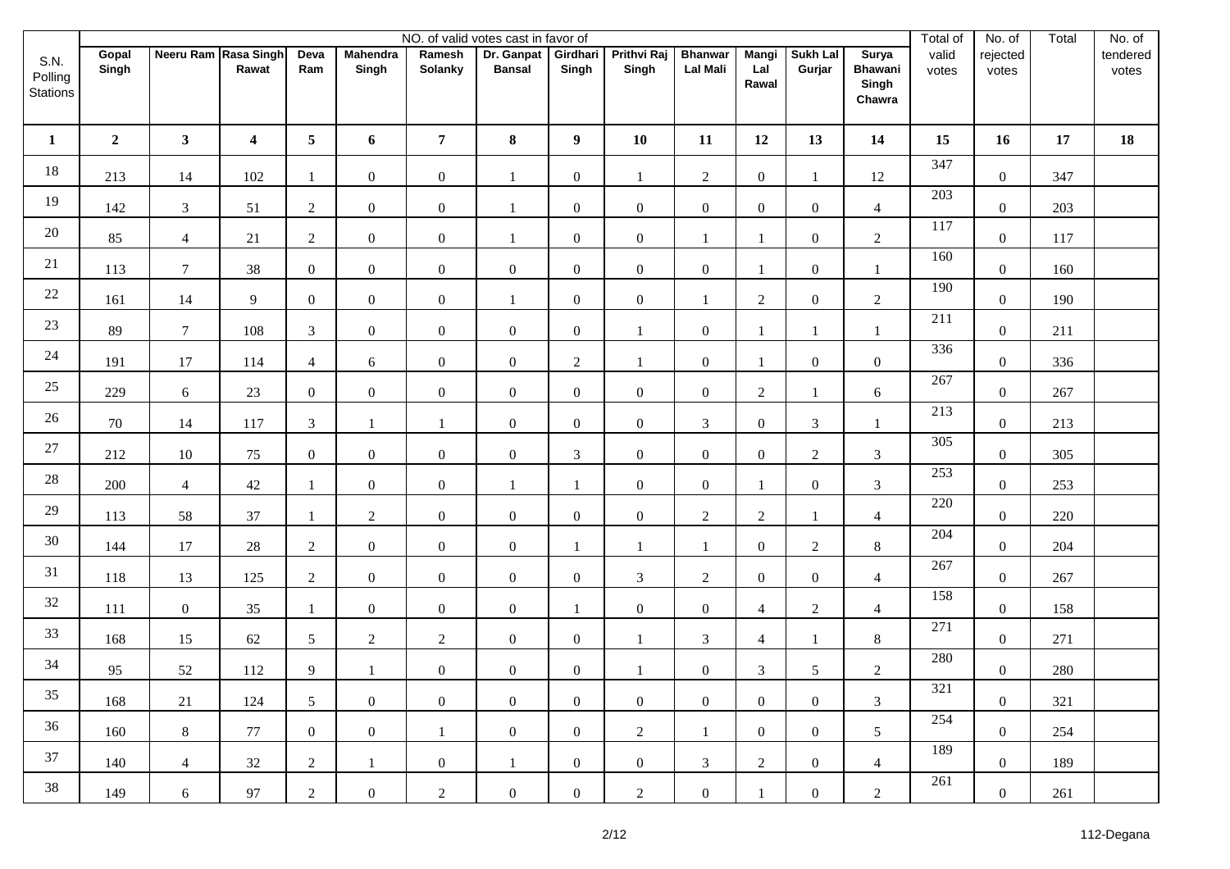|                             |                |                      |                  |                |                          |                          | NO. of valid votes cast in favor of |                   |                             |                                   |                              |                           |                                            | Total of       | No. of            | Total | No. of            |
|-----------------------------|----------------|----------------------|------------------|----------------|--------------------------|--------------------------|-------------------------------------|-------------------|-----------------------------|-----------------------------------|------------------------------|---------------------------|--------------------------------------------|----------------|-------------------|-------|-------------------|
| S.N.<br>Polling<br>Stations | Gopal<br>Singh | Neeru Ram Rasa Singh | Rawat            | Deva<br>Ram    | <b>Mahendra</b><br>Singh | Ramesh<br><b>Solanky</b> | Dr. Ganpat<br><b>Bansal</b>         | Girdhari<br>Singh | <b>Prithvi Raj</b><br>Singh | <b>Bhanwar</b><br><b>Lal Mali</b> | <b>Mangi</b><br>Lal<br>Rawal | <b>Sukh Lal</b><br>Gurjar | Surya<br><b>Bhawani</b><br>Singh<br>Chawra | valid<br>votes | rejected<br>votes |       | tendered<br>votes |
| $\mathbf{1}$                | $\overline{2}$ | $\mathbf{3}$         | $\boldsymbol{4}$ | 5 <sub>5</sub> | 6                        | $\overline{7}$           | ${\bf 8}$                           | $\boldsymbol{9}$  | 10                          | 11                                | 12                           | 13                        | 14                                         | 15             | 16                | 17    | 18                |
| 18                          | 213            | 14                   | 102              |                | $\overline{0}$           | $\boldsymbol{0}$         | 1                                   | $\boldsymbol{0}$  | $\mathbf{1}$                | $\overline{2}$                    | $\boldsymbol{0}$             | $\mathbf{1}$              | 12                                         | 347            | $\mathbf{0}$      | 347   |                   |
| 19                          | 142            | $\mathfrak{Z}$       | 51               | $\overline{2}$ | $\overline{0}$           | $\boldsymbol{0}$         | $\overline{1}$                      | $\boldsymbol{0}$  | $\boldsymbol{0}$            | $\overline{0}$                    | $\boldsymbol{0}$             | $\boldsymbol{0}$          | $\overline{4}$                             | 203            | $\boldsymbol{0}$  | 203   |                   |
| 20                          | 85             | $\overline{4}$       | 21               | $\overline{2}$ | $\overline{0}$           | $\boldsymbol{0}$         | $\mathbf{1}$                        | $\mathbf{0}$      | $\boldsymbol{0}$            | $\mathbf{1}$                      | $\mathbf{1}$                 | $\mathbf{0}$              | $\sqrt{2}$                                 | 117            | $\mathbf{0}$      | 117   |                   |
| 21                          | 113            | $\tau$               | 38               | $\overline{0}$ | $\overline{0}$           | $\boldsymbol{0}$         | $\boldsymbol{0}$                    | $\mathbf{0}$      | $\boldsymbol{0}$            | $\overline{0}$                    | $\mathbf{1}$                 | $\mathbf{0}$              | 1                                          | 160            | $\boldsymbol{0}$  | 160   |                   |
| 22                          | 161            | 14                   | 9                | $\overline{0}$ | $\overline{0}$           | $\boldsymbol{0}$         | 1                                   | $\mathbf{0}$      | $\boldsymbol{0}$            |                                   | $\overline{2}$               | $\boldsymbol{0}$          | $\sqrt{2}$                                 | 190            | $\mathbf{0}$      | 190   |                   |
| 23                          | 89             | $\boldsymbol{7}$     | 108              | $\mathfrak{Z}$ | $\overline{0}$           | $\boldsymbol{0}$         | $\boldsymbol{0}$                    | $\mathbf{0}$      | $\mathbf{1}$                | $\boldsymbol{0}$                  | $\mathbf{1}$                 | 1                         | $\mathbf{1}$                               | 211            | $\boldsymbol{0}$  | 211   |                   |
| 24                          | 191            | 17                   | 114              | $\overline{4}$ | 6                        | $\boldsymbol{0}$         | $\boldsymbol{0}$                    | $\overline{2}$    | $\mathbf{1}$                | $\overline{0}$                    | $\mathbf{1}$                 | $\boldsymbol{0}$          | $\boldsymbol{0}$                           | 336            | $\mathbf{0}$      | 336   |                   |
| 25                          | 229            | $6\,$                | 23               | $\overline{0}$ | $\overline{0}$           | $\boldsymbol{0}$         | $\boldsymbol{0}$                    | $\boldsymbol{0}$  | $\boldsymbol{0}$            | $\overline{0}$                    | $\boldsymbol{2}$             | $\mathbf{1}$              | 6                                          | 267            | $\boldsymbol{0}$  | 267   |                   |
| 26                          | 70             | 14                   | 117              | $\mathfrak{Z}$ |                          | $\mathbf{1}$             | $\boldsymbol{0}$                    | $\mathbf{0}$      | $\boldsymbol{0}$            | $\mathfrak{Z}$                    | $\mathbf{0}$                 | $\mathfrak{Z}$            | $\mathbf{1}$                               | 213            | $\mathbf{0}$      | 213   |                   |
| $27\,$                      | 212            | $10\,$               | 75               | $\overline{0}$ | $\overline{0}$           | $\boldsymbol{0}$         | $\boldsymbol{0}$                    | $\mathfrak{Z}$    | $\boldsymbol{0}$            | $\overline{0}$                    | $\boldsymbol{0}$             | $\overline{2}$            | $\mathfrak{Z}$                             | 305            | $\boldsymbol{0}$  | 305   |                   |
| $28\,$                      | 200            | $\overline{4}$       | 42               |                | $\overline{0}$           | $\boldsymbol{0}$         | $\mathbf{1}$                        | $\mathbf{1}$      | $\boldsymbol{0}$            | $\boldsymbol{0}$                  | $\mathbf{1}$                 | $\boldsymbol{0}$          | $\mathfrak{Z}$                             | 253            | $\mathbf{0}$      | 253   |                   |
| 29                          | 113            | 58                   | 37               |                | $\overline{2}$           | $\boldsymbol{0}$         | $\boldsymbol{0}$                    | $\boldsymbol{0}$  | $\boldsymbol{0}$            | $\overline{2}$                    | $\sqrt{2}$                   | 1                         | $\overline{4}$                             | 220            | $\boldsymbol{0}$  | 220   |                   |
| 30                          | 144            | $17\,$               | $28\,$           | $\overline{2}$ | $\overline{0}$           | $\boldsymbol{0}$         | $\boldsymbol{0}$                    | -1                | $\mathbf{1}$                |                                   | $\boldsymbol{0}$             | $\sqrt{2}$                | $8\,$                                      | 204            | $\mathbf{0}$      | 204   |                   |
| 31                          | 118            | 13                   | 125              | $\overline{2}$ | $\overline{0}$           | $\boldsymbol{0}$         | $\boldsymbol{0}$                    | $\boldsymbol{0}$  | 3                           | $\overline{2}$                    | $\boldsymbol{0}$             | $\boldsymbol{0}$          | $\overline{4}$                             | 267            | $\boldsymbol{0}$  | 267   |                   |
| 32                          | 111            | $\boldsymbol{0}$     | 35               |                | $\overline{0}$           | $\boldsymbol{0}$         | $\boldsymbol{0}$                    | $\mathbf{1}$      | $\boldsymbol{0}$            | $\overline{0}$                    | $\overline{4}$               | $\sqrt{2}$                | $\overline{4}$                             | 158            | $\mathbf{0}$      | 158   |                   |
| 33                          | 168            | 15                   | 62               | 5 <sup>5</sup> | $\overline{2}$           | $\sqrt{2}$               | $\boldsymbol{0}$                    | $\boldsymbol{0}$  | $\mathbf{1}$                | $\mathfrak{Z}$                    | $\overline{4}$               | -1                        | $\,8\,$                                    | 271            | $\mathbf{0}$      | 271   |                   |
| 34                          | 95             | 52                   | 112              | 9              |                          | $\boldsymbol{0}$         | $\boldsymbol{0}$                    | $\boldsymbol{0}$  | $\mathbf{1}$                | $\overline{0}$                    | $\mathfrak{Z}$               | $\sqrt{5}$                | $\sqrt{2}$                                 | 280            | $\boldsymbol{0}$  | 280   |                   |
| 35                          | 168            | 21                   | 124              | 5 <sup>5</sup> | $\overline{0}$           | $\boldsymbol{0}$         | $\overline{0}$                      | $\boldsymbol{0}$  | $\boldsymbol{0}$            | $\mathbf{0}$                      | $\boldsymbol{0}$             | $\mathbf{0}$              | 3                                          | 321            | $\mathbf{0}$      | 321   |                   |
| 36                          | 160            | $8\,$                | 77               | $\overline{0}$ | $\overline{0}$           | $\mathbf{1}$             | $\mathbf{0}$                        | $\boldsymbol{0}$  | $\overline{c}$              | 1                                 | $\boldsymbol{0}$             | $\mathbf{0}$              | $5\overline{)}$                            | 254            | $\boldsymbol{0}$  | 254   |                   |
| 37                          | 140            | $\overline{4}$       | 32               | $\overline{2}$ | 1                        | $\boldsymbol{0}$         | 1                                   | $\boldsymbol{0}$  | $\overline{0}$              | $\mathfrak{Z}$                    | 2                            | $\mathbf{0}$              | $\overline{4}$                             | 189            | $\boldsymbol{0}$  | 189   |                   |
| 38                          | 149            | $6\,$                | 97               | $\overline{c}$ | $\mathbf{0}$             | $\overline{c}$           | $\boldsymbol{0}$                    | $\boldsymbol{0}$  | $\overline{c}$              | $\boldsymbol{0}$                  | $\mathbf{1}$                 | $\boldsymbol{0}$          | $\boldsymbol{2}$                           | 261            | $\boldsymbol{0}$  | 261   |                   |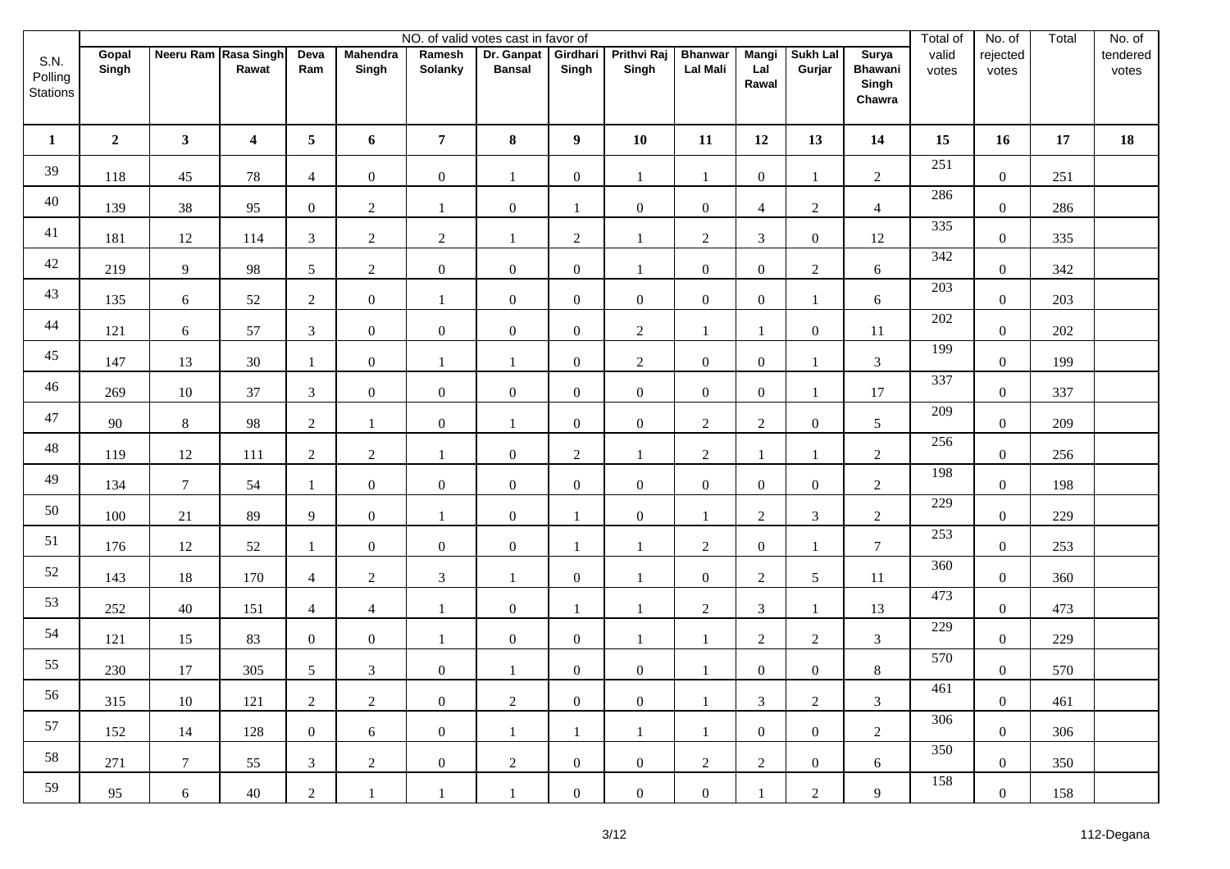|                             |                |                      |                         |                 |                          |                   | NO. of valid votes cast in favor of |                   |                             |                                   |                              |                           |                                            | Total of       | No. of            | Total | No. of            |
|-----------------------------|----------------|----------------------|-------------------------|-----------------|--------------------------|-------------------|-------------------------------------|-------------------|-----------------------------|-----------------------------------|------------------------------|---------------------------|--------------------------------------------|----------------|-------------------|-------|-------------------|
| S.N.<br>Polling<br>Stations | Gopal<br>Singh | Neeru Ram Rasa Singh | Rawat                   | Deva<br>Ram     | <b>Mahendra</b><br>Singh | Ramesh<br>Solanky | Dr. Ganpat<br><b>Bansal</b>         | Girdhari<br>Singh | <b>Prithvi Raj</b><br>Singh | <b>Bhanwar</b><br><b>Lal Mali</b> | <b>Mangi</b><br>Lal<br>Rawal | <b>Sukh Lal</b><br>Gurjar | Surya<br><b>Bhawani</b><br>Singh<br>Chawra | valid<br>votes | rejected<br>votes |       | tendered<br>votes |
| $\mathbf{1}$                | $\mathbf{2}$   | 3 <sup>7</sup>       | $\overline{\mathbf{4}}$ | $5\overline{)}$ | 6                        | $\overline{7}$    | 8                                   | $\boldsymbol{9}$  | 10                          | 11                                | 12                           | 13                        | 14                                         | 15             | 16                | 17    | 18                |
| 39                          | 118            | 45                   | $78\,$                  | $\overline{4}$  | $\overline{0}$           | $\mathbf{0}$      | $\mathbf{1}$                        | $\boldsymbol{0}$  | $\mathbf{1}$                | $\mathbf{1}$                      | $\boldsymbol{0}$             | $\mathbf{1}$              | $\sqrt{2}$                                 | 251            | $\mathbf{0}$      | 251   |                   |
| 40                          | 139            | 38                   | 95                      | $\mathbf{0}$    | $\overline{2}$           | $\mathbf{1}$      | $\boldsymbol{0}$                    | $\mathbf{1}$      | $\boldsymbol{0}$            | $\overline{0}$                    | 4                            | $\overline{c}$            | $\overline{4}$                             | 286            | $\boldsymbol{0}$  | 286   |                   |
| 41                          | 181            | 12                   | 114                     | $\mathfrak{Z}$  | $\overline{2}$           | 2                 | $\mathbf{1}$                        | $\overline{2}$    | $\mathbf{1}$                | $\overline{2}$                    | $\mathfrak{Z}$               | $\overline{0}$            | 12                                         | 335            | $\mathbf{0}$      | 335   |                   |
| $42\,$                      | 219            | $\overline{9}$       | 98                      | $5\overline{)}$ | $\overline{2}$           | $\boldsymbol{0}$  | $\mathbf{0}$                        | $\mathbf{0}$      | $\mathbf{1}$                | $\overline{0}$                    | $\boldsymbol{0}$             | $\overline{c}$            | 6                                          | 342            | $\boldsymbol{0}$  | 342   |                   |
| 43                          | 135            | $\sqrt{6}$           | 52                      | $\overline{2}$  | $\overline{0}$           | $\mathbf{1}$      | $\boldsymbol{0}$                    | $\boldsymbol{0}$  | $\boldsymbol{0}$            | $\overline{0}$                    | $\boldsymbol{0}$             | $\mathbf{1}$              | 6                                          | 203            | $\overline{0}$    | 203   |                   |
| 44                          | 121            | 6                    | 57                      | $\overline{3}$  | $\boldsymbol{0}$         | $\boldsymbol{0}$  | $\boldsymbol{0}$                    | $\boldsymbol{0}$  | $\overline{2}$              | $\mathbf{1}$                      | $\mathbf{1}$                 | $\boldsymbol{0}$          | 11                                         | 202            | $\boldsymbol{0}$  | 202   |                   |
| 45                          | 147            | 13                   | 30                      | $\mathbf{1}$    | $\overline{0}$           | 1                 | $\mathbf{1}$                        | $\boldsymbol{0}$  | $\sqrt{2}$                  | $\overline{0}$                    | $\boldsymbol{0}$             | 1                         | $\mathfrak{Z}$                             | 199            | $\mathbf{0}$      | 199   |                   |
| 46                          | 269            | 10                   | 37                      | $\mathfrak{Z}$  | $\overline{0}$           | $\boldsymbol{0}$  | $\boldsymbol{0}$                    | $\boldsymbol{0}$  | $\boldsymbol{0}$            | $\overline{0}$                    | $\boldsymbol{0}$             | $\mathbf{1}$              | 17                                         | 337            | $\boldsymbol{0}$  | 337   |                   |
| $47\,$                      | 90             | $8\,$                | 98                      | $\overline{2}$  | $\mathbf{1}$             | $\mathbf{0}$      | $\mathbf{1}$                        | $\boldsymbol{0}$  | $\boldsymbol{0}$            | $\overline{2}$                    | $\overline{2}$               | $\boldsymbol{0}$          | $\mathfrak{S}$                             | 209            | $\mathbf{0}$      | 209   |                   |
| $48\,$                      | 119            | 12                   | 111                     | $\overline{2}$  | $\overline{2}$           | $\mathbf{1}$      | $\boldsymbol{0}$                    | $\overline{2}$    | $\mathbf{1}$                | $\overline{2}$                    | $\overline{1}$               | 1                         | $\overline{2}$                             | 256            | $\boldsymbol{0}$  | 256   |                   |
| 49                          | 134            | $\boldsymbol{7}$     | 54                      | $\mathbf{1}$    | $\overline{0}$           | $\boldsymbol{0}$  | $\boldsymbol{0}$                    | $\boldsymbol{0}$  | $\boldsymbol{0}$            | $\overline{0}$                    | $\boldsymbol{0}$             | $\boldsymbol{0}$          | $\sqrt{2}$                                 | 198            | $\mathbf{0}$      | 198   |                   |
| $50\,$                      | 100            | $21\,$               | 89                      | 9               | $\mathbf{0}$             | $\mathbf{1}$      | $\boldsymbol{0}$                    | $\mathbf{1}$      | $\boldsymbol{0}$            | $\mathbf{1}$                      | $\sqrt{2}$                   | $\mathfrak{Z}$            | $\overline{c}$                             | 229            | $\boldsymbol{0}$  | 229   |                   |
| 51                          | 176            | $12\,$               | 52                      | $\mathbf{1}$    | $\overline{0}$           | $\mathbf{0}$      | $\boldsymbol{0}$                    | $\mathbf{1}$      | $\mathbf{1}$                | $\overline{2}$                    | $\boldsymbol{0}$             | 1                         | $7\phantom{.0}$                            | 253            | $\boldsymbol{0}$  | 253   |                   |
| 52                          | 143            | 18                   | 170                     | $\overline{4}$  | $\overline{2}$           | $\mathfrak{Z}$    | 1                                   | $\boldsymbol{0}$  | $\mathbf{1}$                | $\overline{0}$                    | $\sqrt{2}$                   | $\sqrt{5}$                | 11                                         | 360            | $\mathbf{0}$      | 360   |                   |
| 53                          | 252            | 40                   | 151                     | $\overline{4}$  | $\overline{4}$           | $\mathbf{1}$      | $\boldsymbol{0}$                    | $\mathbf{1}$      | $\mathbf{1}$                | $\overline{2}$                    | $\mathfrak{Z}$               | $\mathbf{1}$              | 13                                         | 473            | $\mathbf{0}$      | 473   |                   |
| 54                          | 121            | 15                   | 83                      | $\overline{0}$  | $\overline{0}$           | $\mathbf{1}$      | $\overline{0}$                      | $\boldsymbol{0}$  | $\mathbf{1}$                | $\mathbf{1}$                      | $\sqrt{2}$                   | $\overline{2}$            | $\mathfrak{Z}$                             | 229            | $\mathbf{0}$      | 229   |                   |
| 55                          | 230            | 17                   | 305                     | 5               | 3                        | $\boldsymbol{0}$  | $\mathbf{1}$                        | $\mathbf{0}$      | $\boldsymbol{0}$            | $\mathbf{1}$                      | $\boldsymbol{0}$             | $\boldsymbol{0}$          | $8\,$                                      | 570            | $\boldsymbol{0}$  | 570   |                   |
| 56                          | 315            | 10                   | 121                     | $\overline{2}$  | $\overline{2}$           | $\boldsymbol{0}$  | $\overline{2}$                      | $\boldsymbol{0}$  | $\boldsymbol{0}$            | -1                                | $\mathfrak{Z}$               | $\overline{2}$            | 3                                          | 461            | $\boldsymbol{0}$  | 461   |                   |
| 57                          | 152            | 14                   | 128                     | $\overline{0}$  | 6                        | $\boldsymbol{0}$  | $\mathbf{1}$                        | $\mathbf{1}$      | $\mathbf{1}$                | 1                                 | $\overline{0}$               | $\overline{0}$            | $\overline{2}$                             | 306            | $\boldsymbol{0}$  | 306   |                   |
| 58                          | 271            | $\tau$               | 55                      | 3 <sup>7</sup>  | $\overline{2}$           | $\boldsymbol{0}$  | $\overline{2}$                      | $\boldsymbol{0}$  | $\boldsymbol{0}$            | $\overline{2}$                    | 2                            | $\overline{0}$            | 6                                          | 350            | $\overline{0}$    | 350   |                   |
| 59                          | 95             | 6                    | 40                      | $\overline{2}$  | 1                        | -1                | 1                                   | $\boldsymbol{0}$  | $\boldsymbol{0}$            | $\overline{0}$                    | $\mathbf{1}$                 | $\overline{c}$            | 9                                          | 158            | $\boldsymbol{0}$  | 158   |                   |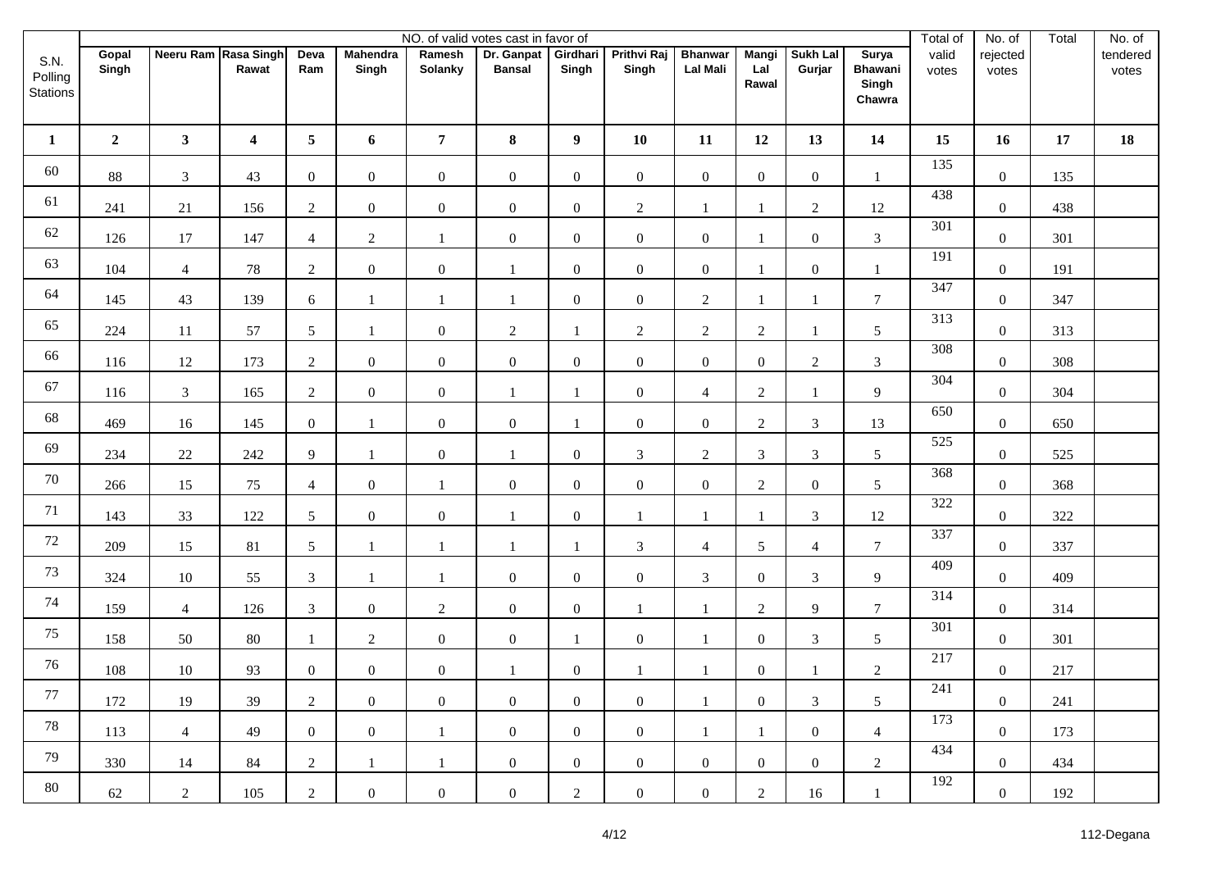|                             |                |                      |                         |                 |                          |                   | NO. of valid votes cast in favor of |                   |                             |                                   |                              |                           |                                            | Total of       | No. of            | Total | No. of            |
|-----------------------------|----------------|----------------------|-------------------------|-----------------|--------------------------|-------------------|-------------------------------------|-------------------|-----------------------------|-----------------------------------|------------------------------|---------------------------|--------------------------------------------|----------------|-------------------|-------|-------------------|
| S.N.<br>Polling<br>Stations | Gopal<br>Singh | Neeru Ram Rasa Singh | Rawat                   | Deva<br>Ram     | <b>Mahendra</b><br>Singh | Ramesh<br>Solanky | Dr. Ganpat<br><b>Bansal</b>         | Girdhari<br>Singh | <b>Prithvi Raj</b><br>Singh | <b>Bhanwar</b><br><b>Lal Mali</b> | <b>Mangi</b><br>Lal<br>Rawal | <b>Sukh Lal</b><br>Gurjar | Surya<br><b>Bhawani</b><br>Singh<br>Chawra | valid<br>votes | rejected<br>votes |       | tendered<br>votes |
| $\mathbf{1}$                | $\mathbf{2}$   | 3 <sup>7</sup>       | $\overline{\mathbf{4}}$ | $5\phantom{.0}$ | 6                        | $\overline{7}$    | 8                                   | $\boldsymbol{9}$  | 10                          | 11                                | 12                           | 13                        | 14                                         | 15             | 16                | 17    | 18                |
| 60                          | 88             | $\mathfrak{Z}$       | 43                      | $\mathbf{0}$    | $\overline{0}$           | $\mathbf{0}$      | $\boldsymbol{0}$                    | $\mathbf{0}$      | $\boldsymbol{0}$            | $\overline{0}$                    | $\boldsymbol{0}$             | $\overline{0}$            | $\mathbf{1}$                               | 135            | $\mathbf{0}$      | 135   |                   |
| 61                          | 241            | 21                   | 156                     | $\overline{2}$  | $\mathbf{0}$             | $\boldsymbol{0}$  | $\mathbf{0}$                        | $\boldsymbol{0}$  | $\sqrt{2}$                  | $\mathbf{1}$                      | 1                            | $\overline{c}$            | 12                                         | 438            | $\boldsymbol{0}$  | 438   |                   |
| 62                          | 126            | 17                   | 147                     | $\overline{4}$  | $\overline{2}$           | $\mathbf{1}$      | $\boldsymbol{0}$                    | $\mathbf{0}$      | $\mathbf{0}$                | $\overline{0}$                    | $\mathbf{1}$                 | $\overline{0}$            | $\mathfrak{Z}$                             | 301            | $\mathbf{0}$      | 301   |                   |
| 63                          | 104            | $\overline{4}$       | 78                      | $\overline{2}$  | $\overline{0}$           | $\boldsymbol{0}$  | $\mathbf{1}$                        | $\mathbf{0}$      | $\boldsymbol{0}$            | $\overline{0}$                    | $\mathbf{1}$                 | $\boldsymbol{0}$          | $\mathbf{1}$                               | 191            | $\boldsymbol{0}$  | 191   |                   |
| 64                          | 145            | 43                   | 139                     | 6               | $\mathbf{1}$             | 1                 | $\mathbf{1}$                        | $\mathbf{0}$      | $\boldsymbol{0}$            | $\overline{2}$                    | $\mathbf{1}$                 | $\mathbf{1}$              | $7\phantom{.0}$                            | 347            | $\mathbf{0}$      | 347   |                   |
| 65                          | 224            | 11                   | 57                      | 5               |                          | $\boldsymbol{0}$  | $\overline{2}$                      | 1                 | $\overline{2}$              | $\overline{2}$                    | $\sqrt{2}$                   | 1                         | 5                                          | 313            | $\boldsymbol{0}$  | 313   |                   |
| 66                          | 116            | 12                   | 173                     | $\overline{2}$  | $\overline{0}$           | $\mathbf{0}$      | $\boldsymbol{0}$                    | $\mathbf{0}$      | $\mathbf{0}$                | $\overline{0}$                    | $\boldsymbol{0}$             | $\overline{c}$            | $\mathfrak{Z}$                             | 308            | $\mathbf{0}$      | 308   |                   |
| 67                          | 116            | 3                    | 165                     | $\overline{2}$  | $\overline{0}$           | $\mathbf{0}$      | $\mathbf{1}$                        | 1                 | $\boldsymbol{0}$            | $\overline{4}$                    | $\overline{c}$               | $\mathbf{1}$              | 9                                          | 304            | $\boldsymbol{0}$  | 304   |                   |
| 68                          | 469            | 16                   | 145                     | $\overline{0}$  | $\mathbf{1}$             | $\overline{0}$    | $\mathbf{0}$                        | 1                 | $\boldsymbol{0}$            | $\overline{0}$                    | $\overline{2}$               | $\mathfrak{Z}$            | 13                                         | 650            | $\mathbf{0}$      | 650   |                   |
| 69                          | 234            | $22\,$               | 242                     | 9               | $\overline{1}$           | $\boldsymbol{0}$  | $\mathbf{1}$                        | $\boldsymbol{0}$  | $\mathfrak{Z}$              | $\overline{2}$                    | 3                            | $\mathfrak{Z}$            | $\mathfrak{S}$                             | 525            | $\boldsymbol{0}$  | 525   |                   |
| $70\,$                      | 266            | 15                   | 75                      | $\overline{4}$  | $\overline{0}$           | $\mathbf{1}$      | $\mathbf{0}$                        | $\mathbf{0}$      | $\boldsymbol{0}$            | $\overline{0}$                    | $\sqrt{2}$                   | $\boldsymbol{0}$          | $\mathfrak{S}$                             | 368            | $\mathbf{0}$      | 368   |                   |
| 71                          | 143            | 33                   | 122                     | $5\overline{)}$ | $\overline{0}$           | $\boldsymbol{0}$  | $\mathbf{1}$                        | $\boldsymbol{0}$  | $\mathbf{1}$                | $\overline{1}$                    | $\mathbf{1}$                 | $\mathfrak{Z}$            | 12                                         | 322            | $\boldsymbol{0}$  | 322   |                   |
| 72                          | 209            | 15                   | 81                      | $5\overline{)}$ | $\mathbf{1}$             | $\mathbf{1}$      | $\mathbf{1}$                        | 1                 | $\mathfrak{Z}$              | $\overline{4}$                    | 5                            | $\overline{4}$            | $\boldsymbol{7}$                           | 337            | $\boldsymbol{0}$  | 337   |                   |
| $73\,$                      | 324            | $10\,$               | 55                      | $\mathfrak{Z}$  |                          | $\mathbf{1}$      | $\mathbf{0}$                        | $\mathbf{0}$      | $\boldsymbol{0}$            | $\mathfrak{Z}$                    | $\boldsymbol{0}$             | $\mathfrak{Z}$            | 9                                          | 409            | $\mathbf{0}$      | 409   |                   |
| 74                          | 159            | $\overline{4}$       | 126                     | $\mathfrak{Z}$  | $\mathbf{0}$             | $\sqrt{2}$        | $\boldsymbol{0}$                    | $\boldsymbol{0}$  | $\mathbf{1}$                | $\mathbf{1}$                      | $\overline{c}$               | 9                         | $7\phantom{.0}$                            | 314            | $\mathbf{0}$      | 314   |                   |
| 75                          | 158            | 50                   | $80\,$                  | 1               | $\overline{2}$           | $\mathbf{0}$      | $\overline{0}$                      | 1                 | $\boldsymbol{0}$            | $\mathbf{1}$                      | $\boldsymbol{0}$             | $\mathfrak{Z}$            | $5\phantom{.0}$                            | 301            | $\mathbf{0}$      | 301   |                   |
| 76                          | 108            | $10\,$               | 93                      | $\overline{0}$  | $\mathbf{0}$             | $\boldsymbol{0}$  | 1                                   | $\boldsymbol{0}$  | $\mathbf{1}$                | $\mathbf{1}$                      | $\boldsymbol{0}$             | 1                         | $\sqrt{2}$                                 | 217            | $\boldsymbol{0}$  | 217   |                   |
| 77                          | 172            | 19                   | 39                      | $\overline{2}$  | $\overline{0}$           | $\boldsymbol{0}$  | $\overline{0}$                      | $\boldsymbol{0}$  | $\boldsymbol{0}$            | -1                                | $\boldsymbol{0}$             | 3                         | 5                                          | 241            | $\boldsymbol{0}$  | 241   |                   |
| 78                          | 113            | $\overline{4}$       | 49                      | $\overline{0}$  | $\mathbf{0}$             | $\mathbf{1}$      | $\overline{0}$                      | $\boldsymbol{0}$  | $\boldsymbol{0}$            | $\mathbf{1}$                      | $\mathbf{1}$                 | $\overline{0}$            | $\overline{4}$                             | 173            | $\boldsymbol{0}$  | 173   |                   |
| 79                          | 330            | 14                   | 84                      | $\overline{2}$  | 1                        | 1                 | $\overline{0}$                      | $\overline{0}$    | $\boldsymbol{0}$            | $\overline{0}$                    | $\boldsymbol{0}$             | $\overline{0}$            | 2                                          | 434            | $\overline{0}$    | 434   |                   |
| 80                          | 62             | $\overline{2}$       | 105                     | $\overline{2}$  | $\mathbf{0}$             | $\boldsymbol{0}$  | $\overline{0}$                      | $\overline{2}$    | $\boldsymbol{0}$            | $\overline{0}$                    | $\boldsymbol{2}$             | 16                        | 1                                          | 192            | $\boldsymbol{0}$  | 192   |                   |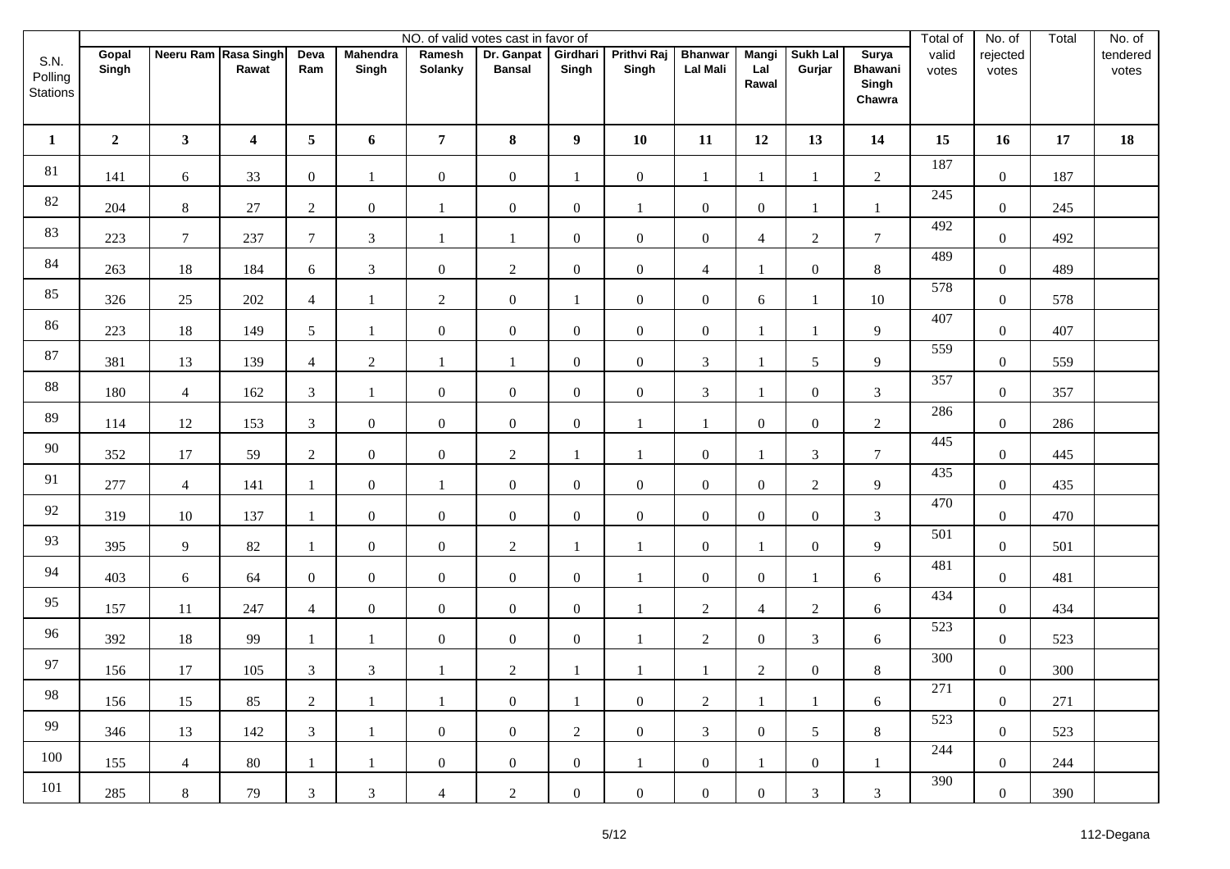|                             |                |                      |                         |                 |                          |                   | NO. of valid votes cast in favor of |                   |                             |                                   |                              |                           |                                            | Total of       | No. of            | Total | No. of            |
|-----------------------------|----------------|----------------------|-------------------------|-----------------|--------------------------|-------------------|-------------------------------------|-------------------|-----------------------------|-----------------------------------|------------------------------|---------------------------|--------------------------------------------|----------------|-------------------|-------|-------------------|
| S.N.<br>Polling<br>Stations | Gopal<br>Singh | Neeru Ram Rasa Singh | Rawat                   | Deva<br>Ram     | <b>Mahendra</b><br>Singh | Ramesh<br>Solanky | Dr. Ganpat<br><b>Bansal</b>         | Girdhari<br>Singh | <b>Prithvi Raj</b><br>Singh | <b>Bhanwar</b><br><b>Lal Mali</b> | <b>Mangi</b><br>Lal<br>Rawal | <b>Sukh Lal</b><br>Gurjar | Surya<br><b>Bhawani</b><br>Singh<br>Chawra | valid<br>votes | rejected<br>votes |       | tendered<br>votes |
| $\mathbf{1}$                | $\mathbf{2}$   | 3 <sup>7</sup>       | $\overline{\mathbf{4}}$ | $5\phantom{.0}$ | 6                        | $\overline{7}$    | 8                                   | $\boldsymbol{9}$  | 10                          | 11                                | 12                           | 13                        | 14                                         | 15             | 16                | 17    | 18                |
| 81                          | 141            | $\sqrt{6}$           | 33                      | $\mathbf{0}$    | 1                        | $\mathbf{0}$      | $\mathbf{0}$                        | 1                 | $\boldsymbol{0}$            | $\mathbf{1}$                      | $\mathbf{1}$                 | 1                         | $\sqrt{2}$                                 | 187            | $\mathbf{0}$      | 187   |                   |
| $82\,$                      | 204            | $8\,$                | $27\,$                  | $\overline{2}$  | $\mathbf{0}$             | $\mathbf{1}$      | $\mathbf{0}$                        | $\boldsymbol{0}$  | $\mathbf{1}$                | $\overline{0}$                    | $\boldsymbol{0}$             | 1                         | 1                                          | 245            | $\boldsymbol{0}$  | 245   |                   |
| 83                          | 223            | $\tau$               | 237                     | $7\phantom{.0}$ | $\mathfrak{Z}$           | $\mathbf{1}$      | $\mathbf{1}$                        | $\mathbf{0}$      | $\mathbf{0}$                | $\overline{0}$                    | 4                            | $\overline{2}$            | $7\phantom{.0}$                            | 492            | $\mathbf{0}$      | 492   |                   |
| 84                          | 263            | 18                   | 184                     | 6               | $\mathfrak{Z}$           | $\mathbf{0}$      | $\overline{2}$                      | $\boldsymbol{0}$  | $\boldsymbol{0}$            | $\overline{4}$                    | $\mathbf{1}$                 | $\boldsymbol{0}$          | $8\,$                                      | 489            | $\boldsymbol{0}$  | 489   |                   |
| 85                          | 326            | $25\,$               | 202                     | $\overline{4}$  | $\mathbf{1}$             | $\overline{2}$    | $\boldsymbol{0}$                    | 1                 | $\boldsymbol{0}$            | $\overline{0}$                    | 6                            | $\mathbf{1}$              | $10\,$                                     | 578            | $\boldsymbol{0}$  | 578   |                   |
| 86                          | 223            | 18                   | 149                     | $5\overline{)}$ |                          | $\boldsymbol{0}$  | $\mathbf{0}$                        | $\mathbf{0}$      | $\boldsymbol{0}$            | $\boldsymbol{0}$                  | $\mathbf{1}$                 | 1                         | 9                                          | 407            | $\boldsymbol{0}$  | 407   |                   |
| 87                          | 381            | 13                   | 139                     | $\overline{4}$  | $\overline{2}$           | $\mathbf{1}$      | $\mathbf{1}$                        | $\mathbf{0}$      | $\mathbf{0}$                | $\mathfrak{Z}$                    | $\overline{1}$               | 5                         | 9                                          | 559            | $\mathbf{0}$      | 559   |                   |
| 88                          | 180            | $\overline{4}$       | 162                     | $\mathfrak{Z}$  | $\mathbf{1}$             | $\boldsymbol{0}$  | $\mathbf{0}$                        | $\boldsymbol{0}$  | $\boldsymbol{0}$            | $\mathfrak{Z}$                    | $\mathbf{1}$                 | $\boldsymbol{0}$          | $\mathfrak{Z}$                             | 357            | $\boldsymbol{0}$  | 357   |                   |
| 89                          | 114            | 12                   | 153                     | $\mathfrak{Z}$  | $\overline{0}$           | $\mathbf{0}$      | $\mathbf{0}$                        | $\mathbf{0}$      | $\mathbf{1}$                | $\mathbf{1}$                      | $\mathbf{0}$                 | $\boldsymbol{0}$          | $\overline{2}$                             | 286            | $\mathbf{0}$      | 286   |                   |
| 90                          | 352            | 17                   | 59                      | $\overline{2}$  | $\mathbf{0}$             | $\boldsymbol{0}$  | $\overline{2}$                      | 1                 | 1                           | $\overline{0}$                    | $\overline{1}$               | 3                         | $7\phantom{.0}$                            | 445            | $\boldsymbol{0}$  | 445   |                   |
| 91                          | 277            | $\overline{4}$       | 141                     | 1               | $\overline{0}$           | $\mathbf{1}$      | $\boldsymbol{0}$                    | $\boldsymbol{0}$  | $\boldsymbol{0}$            | $\overline{0}$                    | $\boldsymbol{0}$             | $\overline{2}$            | 9                                          | 435            | $\mathbf{0}$      | 435   |                   |
| 92                          | 319            | $10\,$               | 137                     | 1               | $\overline{0}$           | $\mathbf{0}$      | $\boldsymbol{0}$                    | $\boldsymbol{0}$  | $\boldsymbol{0}$            | $\overline{0}$                    | $\boldsymbol{0}$             | $\overline{0}$            | $\mathfrak{Z}$                             | 470            | $\boldsymbol{0}$  | 470   |                   |
| 93                          | 395            | $\overline{9}$       | 82                      | $\mathbf{1}$    | $\overline{0}$           | $\mathbf{0}$      | $\overline{2}$                      | $\mathbf{1}$      | $\mathbf{1}$                | $\overline{0}$                    | $\mathbf{1}$                 | $\boldsymbol{0}$          | $\overline{9}$                             | 501            | $\boldsymbol{0}$  | 501   |                   |
| 94                          | 403            | $\boldsymbol{6}$     | 64                      | $\overline{0}$  | $\overline{0}$           | $\mathbf{0}$      | $\boldsymbol{0}$                    | $\boldsymbol{0}$  | $\mathbf{1}$                | $\overline{0}$                    | $\boldsymbol{0}$             | 1                         | 6                                          | 481            | $\mathbf{0}$      | 481   |                   |
| 95                          | 157            | 11                   | 247                     | $\overline{4}$  | $\mathbf{0}$             | $\mathbf{0}$      | $\boldsymbol{0}$                    | $\boldsymbol{0}$  | $\mathbf{1}$                | $\overline{2}$                    | $\overline{4}$               | $\overline{2}$            | $6\,$                                      | 434            | $\mathbf{0}$      | 434   |                   |
| 96                          | 392            | 18                   | 99                      | 1               | $\mathbf{1}$             | $\boldsymbol{0}$  | $\overline{0}$                      | $\boldsymbol{0}$  | $\mathbf{1}$                | $\overline{2}$                    | $\boldsymbol{0}$             | $\mathfrak{Z}$            | 6                                          | 523            | $\mathbf{0}$      | 523   |                   |
| 97                          | 156            | 17                   | 105                     | $\overline{3}$  | 3                        | $\mathbf{1}$      | $\overline{2}$                      | $\mathbf{1}$      | $\mathbf{1}$                | 1                                 | $\overline{c}$               | $\boldsymbol{0}$          | $8\,$                                      | 300            | $\boldsymbol{0}$  | 300   |                   |
| 98                          | 156            | 15                   | 85                      | $\overline{2}$  | -1                       | -1                | $\overline{0}$                      | 1                 | $\boldsymbol{0}$            | $\overline{2}$                    | $\mathbf{1}$                 | 1                         | 6                                          | 271            | $\boldsymbol{0}$  | 271   |                   |
| 99                          | 346            | 13                   | 142                     | 3 <sup>7</sup>  | 1                        | $\boldsymbol{0}$  | $\overline{0}$                      | $\overline{2}$    | $\boldsymbol{0}$            | 3 <sup>7</sup>                    | $\boldsymbol{0}$             | $5\overline{)}$           | 8                                          | 523            | $\boldsymbol{0}$  | 523   |                   |
| 100                         | 155            | $\overline{4}$       | 80                      | 1               | -1                       | $\boldsymbol{0}$  | $\overline{0}$                      | $\boldsymbol{0}$  | 1                           | $\overline{0}$                    | $\mathbf{1}$                 | $\overline{0}$            | 1                                          | 244            | $\overline{0}$    | 244   |                   |
| 101                         | 285            | $8\,$                | 79                      | $\mathfrak{Z}$  | $\mathfrak{Z}$           | $\overline{4}$    | $\overline{2}$                      | $\boldsymbol{0}$  | $\boldsymbol{0}$            | $\overline{0}$                    | $\boldsymbol{0}$             | $\mathfrak{Z}$            | $\mathfrak{Z}$                             | 390            | $\boldsymbol{0}$  | 390   |                   |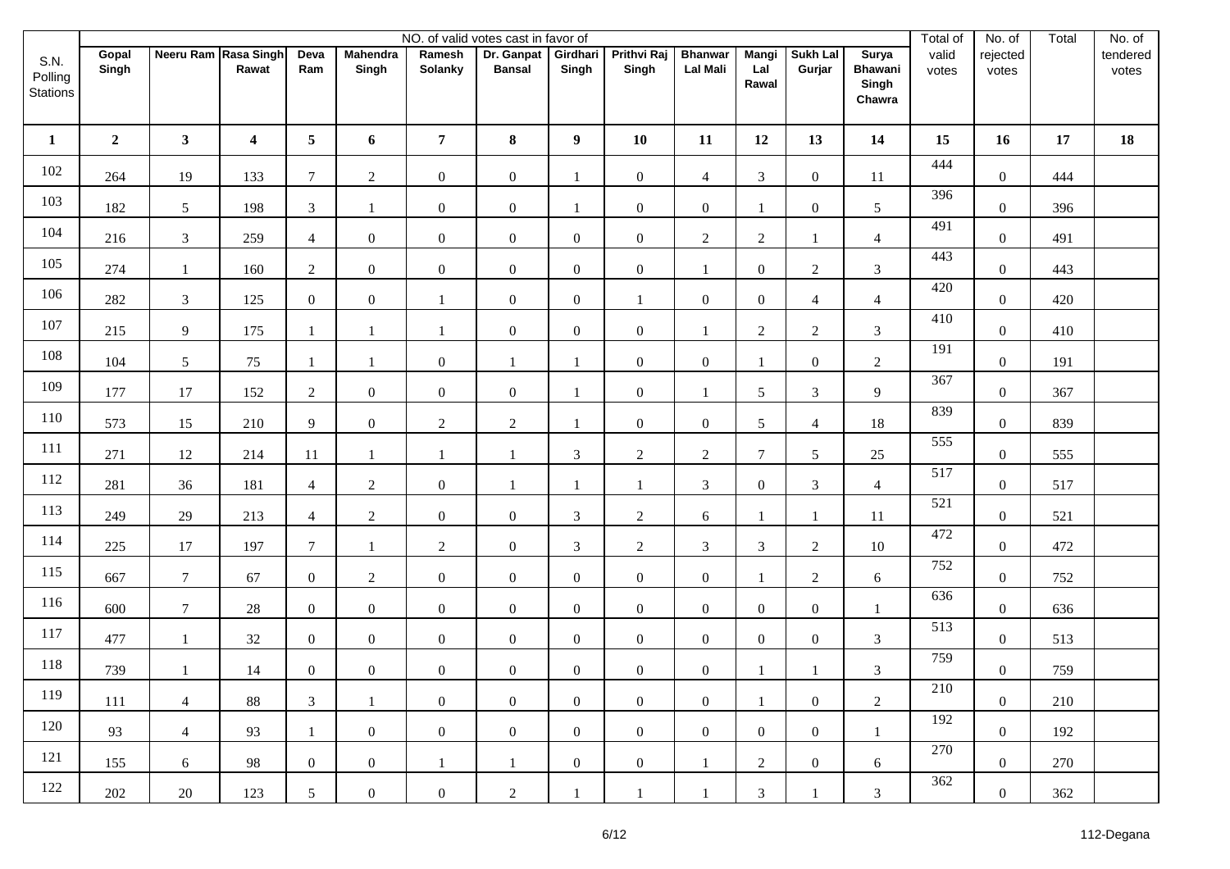|                             |                |                      |                         |                |                          |                   | NO. of valid votes cast in favor of |                   |                             |                                   |                              |                           |                                            | Total of       | No. of            | Total | No. of            |
|-----------------------------|----------------|----------------------|-------------------------|----------------|--------------------------|-------------------|-------------------------------------|-------------------|-----------------------------|-----------------------------------|------------------------------|---------------------------|--------------------------------------------|----------------|-------------------|-------|-------------------|
| S.N.<br>Polling<br>Stations | Gopal<br>Singh | Neeru Ram Rasa Singh | Rawat                   | Deva<br>Ram    | <b>Mahendra</b><br>Singh | Ramesh<br>Solanky | Dr. Ganpat<br><b>Bansal</b>         | Girdhari<br>Singh | <b>Prithvi Raj</b><br>Singh | <b>Bhanwar</b><br><b>Lal Mali</b> | <b>Mangi</b><br>Lal<br>Rawal | <b>Sukh Lal</b><br>Gurjar | Surya<br><b>Bhawani</b><br>Singh<br>Chawra | valid<br>votes | rejected<br>votes |       | tendered<br>votes |
| $\mathbf{1}$                | $\mathbf{2}$   | 3 <sup>7</sup>       | $\overline{\mathbf{4}}$ | 5 <sub>5</sub> | 6                        | $\overline{7}$    | 8                                   | $\boldsymbol{9}$  | 10                          | 11                                | 12                           | 13                        | 14                                         | 15             | 16                | 17    | 18                |
| 102                         | 264            | 19                   | 133                     | $\tau$         | $\overline{2}$           | $\mathbf{0}$      | $\mathbf{0}$                        | 1                 | $\boldsymbol{0}$            | $\overline{4}$                    | 3                            | $\boldsymbol{0}$          | 11                                         | 444            | $\mathbf{0}$      | 444   |                   |
| 103                         | 182            | $\sqrt{5}$           | 198                     | $\mathfrak{Z}$ | $\mathbf{1}$             | $\boldsymbol{0}$  | $\mathbf{0}$                        | -1                | $\boldsymbol{0}$            | $\overline{0}$                    | $\mathbf{1}$                 | $\boldsymbol{0}$          | $\mathfrak{S}$                             | 396            | $\boldsymbol{0}$  | 396   |                   |
| 104                         | 216            | 3                    | 259                     | $\overline{4}$ | $\overline{0}$           | $\mathbf{0}$      | $\mathbf{0}$                        | $\mathbf{0}$      | $\mathbf{0}$                | $\overline{2}$                    | 2                            | $\mathbf{1}$              | $\overline{4}$                             | 491            | $\mathbf{0}$      | 491   |                   |
| 105                         | 274            | $\mathbf{1}$         | 160                     | $\overline{2}$ | $\overline{0}$           | $\boldsymbol{0}$  | $\mathbf{0}$                        | $\mathbf{0}$      | $\boldsymbol{0}$            | $\mathbf{1}$                      | $\boldsymbol{0}$             | $\overline{c}$            | $\mathfrak{Z}$                             | 443            | $\boldsymbol{0}$  | 443   |                   |
| 106                         | 282            | $\mathfrak{Z}$       | 125                     | $\overline{0}$ | $\overline{0}$           | $\mathbf{1}$      | $\boldsymbol{0}$                    | $\boldsymbol{0}$  | $\mathbf{1}$                | $\overline{0}$                    | $\boldsymbol{0}$             | $\overline{4}$            | $\overline{4}$                             | 420            | $\mathbf{0}$      | 420   |                   |
| 107                         | 215            | 9                    | 175                     | -1             | $\overline{1}$           | $\mathbf{1}$      | $\mathbf{0}$                        | $\boldsymbol{0}$  | $\boldsymbol{0}$            | $\mathbf{1}$                      | $\mathbf{2}$                 | $\boldsymbol{2}$          | $\mathfrak{Z}$                             | 410            | $\boldsymbol{0}$  | 410   |                   |
| 108                         | 104            | $\sqrt{5}$           | 75                      | $\mathbf{1}$   | $\mathbf{1}$             | $\mathbf{0}$      | $\mathbf{1}$                        | 1                 | $\mathbf{0}$                | $\overline{0}$                    | $\mathbf{1}$                 | $\boldsymbol{0}$          | $\overline{2}$                             | 191            | $\mathbf{0}$      | 191   |                   |
| 109                         | 177            | 17                   | 152                     | $\overline{2}$ | $\overline{0}$           | $\boldsymbol{0}$  | $\mathbf{0}$                        | $\mathbf{1}$      | $\boldsymbol{0}$            | $\mathbf{1}$                      | 5                            | 3                         | 9                                          | 367            | $\boldsymbol{0}$  | 367   |                   |
| 110                         | 573            | 15                   | 210                     | 9              | $\overline{0}$           | $\overline{2}$    | $\overline{2}$                      | 1                 | $\boldsymbol{0}$            | $\overline{0}$                    | 5                            | $\overline{4}$            | 18                                         | 839            | $\mathbf{0}$      | 839   |                   |
| 111                         | 271            | 12                   | 214                     | 11             | $\mathbf{1}$             | $\mathbf{1}$      | $\mathbf{1}$                        | $\mathfrak{Z}$    | $\sqrt{2}$                  | $\overline{2}$                    | $\tau$                       | $\sqrt{5}$                | 25                                         | 555            | $\boldsymbol{0}$  | 555   |                   |
| 112                         | 281            | 36                   | 181                     | $\overline{4}$ | $\overline{2}$           | $\boldsymbol{0}$  | $\mathbf{1}$                        | $\mathbf{1}$      | $\mathbf{1}$                | $\mathfrak{Z}$                    | $\boldsymbol{0}$             | $\mathfrak{Z}$            | $\overline{4}$                             | 517            | $\mathbf{0}$      | 517   |                   |
| 113                         | 249            | 29                   | 213                     | $\overline{4}$ | $\overline{2}$           | $\boldsymbol{0}$  | $\mathbf{0}$                        | $\mathfrak{Z}$    | $\sqrt{2}$                  | 6                                 | 1                            | $\mathbf{1}$              | $11\,$                                     | 521            | $\boldsymbol{0}$  | 521   |                   |
| 114                         | $225\,$        | $17\,$               | 197                     | $\tau$         | $\mathbf{1}$             | $\sqrt{2}$        | $\boldsymbol{0}$                    | $\mathfrak{Z}$    | $\sqrt{2}$                  | $\overline{3}$                    | $\mathfrak{Z}$               | $\overline{2}$            | $10\,$                                     | 472            | $\boldsymbol{0}$  | 472   |                   |
| 115                         | 667            | $\tau$               | 67                      | $\overline{0}$ | $\overline{2}$           | $\mathbf{0}$      | $\boldsymbol{0}$                    | $\boldsymbol{0}$  | $\boldsymbol{0}$            | $\overline{0}$                    |                              | $\overline{2}$            | 6                                          | 752            | $\mathbf{0}$      | 752   |                   |
| 116                         | 600            | $\boldsymbol{7}$     | $28\,$                  | $\overline{0}$ | $\overline{0}$           | $\mathbf{0}$      | $\boldsymbol{0}$                    | $\boldsymbol{0}$  | $\boldsymbol{0}$            | $\overline{0}$                    | $\boldsymbol{0}$             | $\boldsymbol{0}$          | 1                                          | 636            | $\mathbf{0}$      | 636   |                   |
| 117                         | 477            | $\mathbf{1}$         | $32\,$                  | $\mathbf{0}$   | $\overline{0}$           | $\boldsymbol{0}$  | $\overline{0}$                      | $\boldsymbol{0}$  | $\boldsymbol{0}$            | $\overline{0}$                    | $\boldsymbol{0}$             | $\overline{0}$            | $\mathfrak{Z}$                             | 513            | $\mathbf{0}$      | 513   |                   |
| 118                         | 739            | $\mathbf{1}$         | 14                      | $\overline{0}$ | $\mathbf{0}$             | $\boldsymbol{0}$  | $\boldsymbol{0}$                    | $\mathbf{0}$      | $\boldsymbol{0}$            | $\overline{0}$                    | $\mathbf{1}$                 | 1                         | $\mathfrak{Z}$                             | 759            | $\boldsymbol{0}$  | 759   |                   |
| 119                         | 111            | $\overline{4}$       | 88                      | 3              | -1                       | $\boldsymbol{0}$  | $\overline{0}$                      | $\boldsymbol{0}$  | $\boldsymbol{0}$            | $\overline{0}$                    | $\overline{1}$               | $\boldsymbol{0}$          | 2                                          | 210            | $\overline{0}$    | 210   |                   |
| 120                         | 93             | $\overline{4}$       | 93                      | 1              | $\mathbf{0}$             | $\boldsymbol{0}$  | $\overline{0}$                      | $\boldsymbol{0}$  | $\boldsymbol{0}$            | $\overline{0}$                    | $\overline{0}$               | $\overline{0}$            | $\mathbf{1}$                               | 192            | $\mathbf{0}$      | 192   |                   |
| 121                         | 155            | 6                    | 98                      | $\overline{0}$ | $\overline{0}$           | $\mathbf{1}$      | $\mathbf{1}$                        | $\boldsymbol{0}$  | $\overline{0}$              | 1                                 | 2                            | $\overline{0}$            | 6                                          | 270            | $\overline{0}$    | 270   |                   |
| 122                         | 202            | 20                   | 123                     | 5 <sup>5</sup> | $\mathbf{0}$             | $\boldsymbol{0}$  | $\overline{2}$                      | $\mathbf{1}$      | $\overline{1}$              | $\mathbf{1}$                      | $\mathfrak{Z}$               | 1                         | $\mathfrak{Z}$                             | 362            | $\boldsymbol{0}$  | 362   |                   |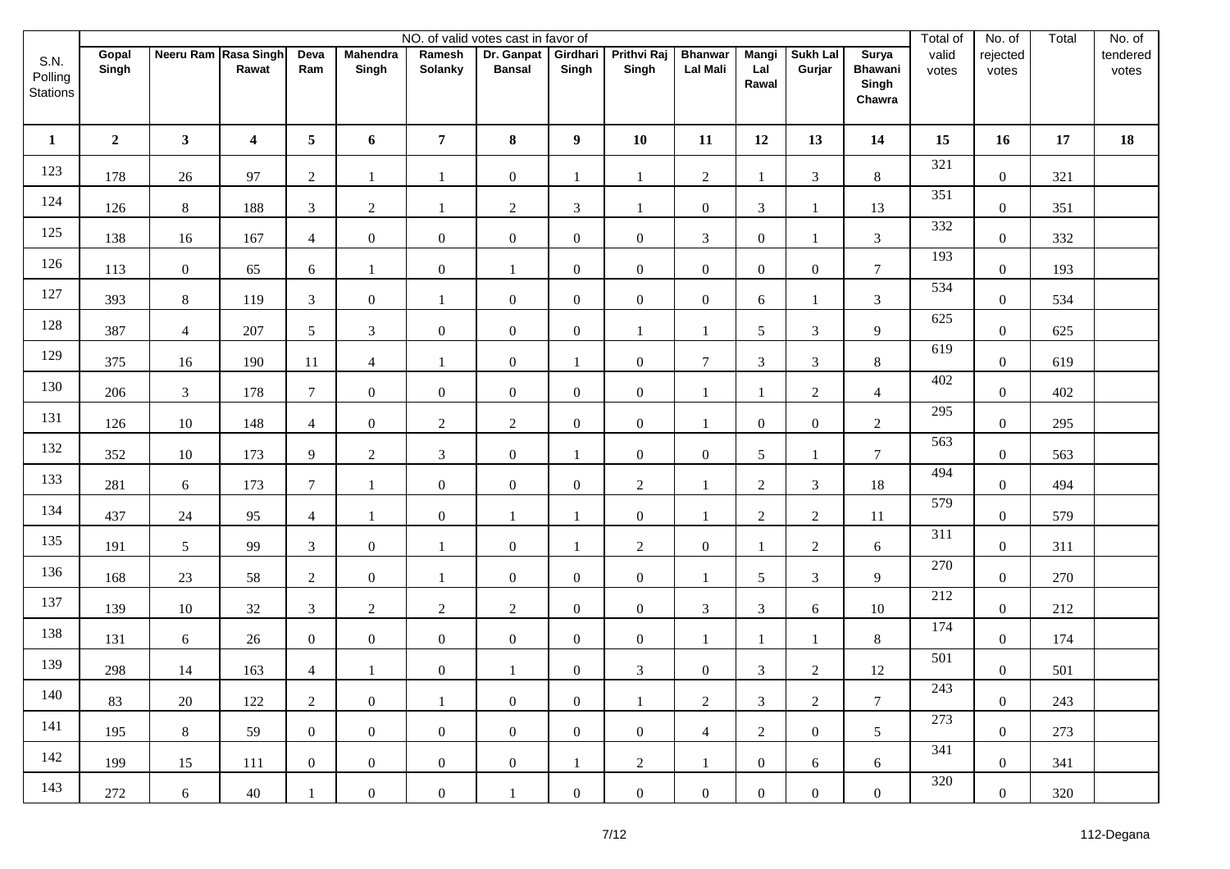|                             |                |                      |                         |                 |                          |                   | NO. of valid votes cast in favor of |                   |                             |                                   |                              |                           |                                            | Total of       | No. of            | Total | $\overline{No.}$ of |
|-----------------------------|----------------|----------------------|-------------------------|-----------------|--------------------------|-------------------|-------------------------------------|-------------------|-----------------------------|-----------------------------------|------------------------------|---------------------------|--------------------------------------------|----------------|-------------------|-------|---------------------|
| S.N.<br>Polling<br>Stations | Gopal<br>Singh | Neeru Ram Rasa Singh | Rawat                   | Deva<br>Ram     | <b>Mahendra</b><br>Singh | Ramesh<br>Solanky | Dr. Ganpat<br><b>Bansal</b>         | Girdhari<br>Singh | <b>Prithvi Raj</b><br>Singh | <b>Bhanwar</b><br><b>Lal Mali</b> | <b>Mangi</b><br>Lal<br>Rawal | <b>Sukh Lal</b><br>Gurjar | Surya<br><b>Bhawani</b><br>Singh<br>Chawra | valid<br>votes | rejected<br>votes |       | tendered<br>votes   |
| $\mathbf{1}$                | $\mathbf{2}$   | 3 <sup>7</sup>       | $\overline{\mathbf{4}}$ | $5\overline{)}$ | 6                        | $\overline{7}$    | 8                                   | $\boldsymbol{9}$  | 10                          | 11                                | 12                           | 13                        | 14                                         | 15             | 16                | 17    | 18                  |
| 123                         | 178            | 26                   | 97                      | $\overline{2}$  | 1                        | $\mathbf{1}$      | $\mathbf{0}$                        | 1                 | $\mathbf{1}$                | $\overline{2}$                    | $\mathbf{1}$                 | $\mathfrak{Z}$            | $8\,$                                      | 321            | $\mathbf{0}$      | 321   |                     |
| 124                         | 126            | $8\,$                | 188                     | $\mathfrak{Z}$  | $\overline{2}$           | $\mathbf{1}$      | $\sqrt{2}$                          | $\mathfrak{Z}$    | $\mathbf{1}$                | $\overline{0}$                    | $\mathfrak{Z}$               | 1                         | 13                                         | 351            | $\boldsymbol{0}$  | 351   |                     |
| 125                         | 138            | 16                   | 167                     | $\overline{4}$  | $\overline{0}$           | $\mathbf{0}$      | $\boldsymbol{0}$                    | $\mathbf{0}$      | $\mathbf{0}$                | $\mathfrak{Z}$                    | $\boldsymbol{0}$             | $\mathbf{1}$              | $\mathfrak{Z}$                             | 332            | $\mathbf{0}$      | 332   |                     |
| 126                         | 113            | $\boldsymbol{0}$     | 65                      | 6               | $\mathbf{1}$             | $\boldsymbol{0}$  | 1                                   | $\mathbf{0}$      | $\boldsymbol{0}$            | $\overline{0}$                    | $\boldsymbol{0}$             | $\boldsymbol{0}$          | $7\phantom{.0}$                            | 193            | $\boldsymbol{0}$  | 193   |                     |
| 127                         | 393            | $8\,$                | 119                     | $\mathfrak{Z}$  | $\overline{0}$           | $\mathbf{1}$      | $\mathbf{0}$                        | $\boldsymbol{0}$  | $\boldsymbol{0}$            | $\overline{0}$                    | 6                            | $\mathbf{1}$              | $\mathfrak{Z}$                             | 534            | $\mathbf{0}$      | 534   |                     |
| 128                         | 387            | $\overline{4}$       | 207                     | $5\overline{)}$ | $\mathfrak{Z}$           | $\boldsymbol{0}$  | $\mathbf{0}$                        | $\boldsymbol{0}$  | $\mathbf{1}$                | $\mathbf{1}$                      | 5                            | $\mathfrak{Z}$            | 9                                          | 625            | $\boldsymbol{0}$  | 625   |                     |
| 129                         | 375            | 16                   | 190                     | 11              | $\overline{4}$           | $\mathbf{1}$      | $\boldsymbol{0}$                    | 1                 | $\boldsymbol{0}$            | $\overline{7}$                    | $\mathfrak{Z}$               | $\mathfrak{Z}$            | $8\,$                                      | 619            | $\mathbf{0}$      | 619   |                     |
| 130                         | 206            | 3                    | 178                     | $\tau$          | $\overline{0}$           | $\boldsymbol{0}$  | $\mathbf{0}$                        | $\boldsymbol{0}$  | $\boldsymbol{0}$            | $\mathbf{1}$                      | $\mathbf{1}$                 | $\overline{2}$            | $\overline{4}$                             | 402            | $\boldsymbol{0}$  | 402   |                     |
| 131                         | 126            | 10                   | 148                     | $\overline{4}$  | $\overline{0}$           | $\overline{2}$    | $\overline{2}$                      | $\mathbf{0}$      | $\boldsymbol{0}$            | $\mathbf{1}$                      | $\mathbf{0}$                 | $\boldsymbol{0}$          | $\overline{2}$                             | 295            | $\mathbf{0}$      | 295   |                     |
| 132                         | 352            | $10\,$               | 173                     | 9               | $\overline{2}$           | $\mathfrak{Z}$    | $\mathbf{0}$                        | 1                 | $\boldsymbol{0}$            | $\boldsymbol{0}$                  | 5                            | 1                         | $7\phantom{.0}$                            | 563            | $\boldsymbol{0}$  | 563   |                     |
| 133                         | 281            | $\sqrt{6}$           | 173                     | $\tau$          | $\mathbf{1}$             | $\mathbf{0}$      | $\mathbf{0}$                        | $\mathbf{0}$      | $\sqrt{2}$                  | $\mathbf{1}$                      | $\sqrt{2}$                   | $\mathfrak{Z}$            | 18                                         | 494            | $\mathbf{0}$      | 494   |                     |
| 134                         | 437            | $24\,$               | 95                      | $\overline{4}$  | $\overline{1}$           | $\boldsymbol{0}$  | $\mathbf{1}$                        | $\mathbf{1}$      | $\boldsymbol{0}$            | $\overline{1}$                    | $\sqrt{2}$                   | $\overline{2}$            | 11                                         | 579            | $\boldsymbol{0}$  | 579   |                     |
| 135                         | 191            | $\sqrt{5}$           | 99                      | $\mathfrak{Z}$  | $\mathbf{0}$             | $\mathbf{1}$      | $\mathbf{0}$                        | $\mathbf{1}$      | $\sqrt{2}$                  | $\overline{0}$                    | $\mathbf{1}$                 | $\overline{2}$            | $6\phantom{.}6$                            | 311            | $\boldsymbol{0}$  | 311   |                     |
| 136                         | 168            | $23\,$               | 58                      | $\overline{2}$  | $\overline{0}$           | $\mathbf{1}$      | $\mathbf{0}$                        | $\mathbf{0}$      | $\boldsymbol{0}$            |                                   | 5                            | $\mathfrak{Z}$            | 9                                          | 270            | $\mathbf{0}$      | 270   |                     |
| 137                         | 139            | $10\,$               | 32                      | $\mathfrak{Z}$  | $\overline{2}$           | $\sqrt{2}$        | $\overline{2}$                      | $\boldsymbol{0}$  | $\mathbf{0}$                | $\mathfrak{Z}$                    | $\mathfrak{Z}$               | $\sqrt{6}$                | $10\,$                                     | 212            | $\mathbf{0}$      | 212   |                     |
| 138                         | 131            | 6                    | 26                      | $\overline{0}$  | $\overline{0}$           | $\boldsymbol{0}$  | $\overline{0}$                      | $\boldsymbol{0}$  | $\boldsymbol{0}$            | $\mathbf{1}$                      | 1                            | 1                         | $8\,$                                      | 174            | $\mathbf{0}$      | 174   |                     |
| 139                         | 298            | $14$                 | 163                     | $\overline{4}$  |                          | $\boldsymbol{0}$  | 1                                   | $\boldsymbol{0}$  | $\mathfrak{Z}$              | $\overline{0}$                    | 3                            | $\sqrt{2}$                | 12                                         | 501            | $\boldsymbol{0}$  | 501   |                     |
| 140                         | 83             | 20                   | 122                     | $\overline{2}$  | $\overline{0}$           | -1                | $\overline{0}$                      | $\boldsymbol{0}$  | $\mathbf{1}$                | $\overline{2}$                    | $\mathfrak{Z}$               | $\overline{2}$            | $\tau$                                     | 243            | $\overline{0}$    | 243   |                     |
| 141                         | 195            | 8                    | 59                      | $\overline{0}$  | $\overline{0}$           | $\boldsymbol{0}$  | $\overline{0}$                      | $\overline{0}$    | $\boldsymbol{0}$            | $\overline{4}$                    | $\overline{2}$               | $\overline{0}$            | $5\overline{)}$                            | 273            | $\boldsymbol{0}$  | 273   |                     |
| 142                         | 199            | 15                   | 111                     | $\overline{0}$  | $\overline{0}$           | $\boldsymbol{0}$  | $\overline{0}$                      | $\mathbf{1}$      | 2                           | 1                                 | $\boldsymbol{0}$             | 6                         | 6                                          | 341            | $\overline{0}$    | 341   |                     |
| 143                         | 272            | 6                    | 40                      | -1              | $\mathbf{0}$             | $\boldsymbol{0}$  | 1                                   | $\boldsymbol{0}$  | $\boldsymbol{0}$            | $\overline{0}$                    | $\boldsymbol{0}$             | $\mathbf{0}$              | $\boldsymbol{0}$                           | 320            | $\boldsymbol{0}$  | 320   |                     |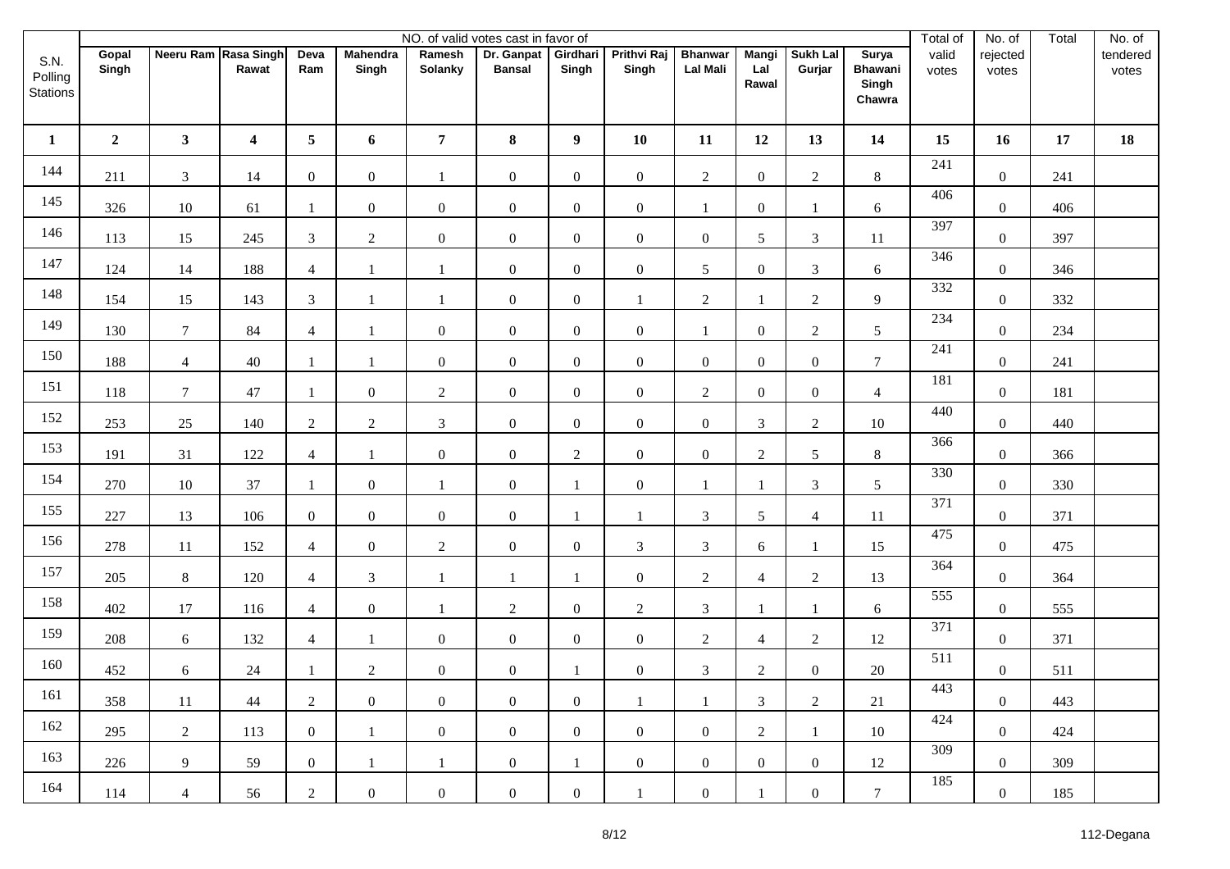|                             |                |                      |                         |                 |                          |                   | NO. of valid votes cast in favor of |                   |                             |                                   |                              |                           |                                            | Total of         | No. of            | Total | No. of            |
|-----------------------------|----------------|----------------------|-------------------------|-----------------|--------------------------|-------------------|-------------------------------------|-------------------|-----------------------------|-----------------------------------|------------------------------|---------------------------|--------------------------------------------|------------------|-------------------|-------|-------------------|
| S.N.<br>Polling<br>Stations | Gopal<br>Singh | Neeru Ram Rasa Singh | Rawat                   | Deva<br>Ram     | <b>Mahendra</b><br>Singh | Ramesh<br>Solanky | Dr. Ganpat<br><b>Bansal</b>         | Girdhari<br>Singh | <b>Prithvi Raj</b><br>Singh | <b>Bhanwar</b><br><b>Lal Mali</b> | <b>Mangi</b><br>Lal<br>Rawal | <b>Sukh Lal</b><br>Gurjar | Surya<br><b>Bhawani</b><br>Singh<br>Chawra | valid<br>votes   | rejected<br>votes |       | tendered<br>votes |
| $\mathbf{1}$                | $\mathbf{2}$   | 3 <sup>1</sup>       | $\overline{\mathbf{4}}$ | $5\overline{)}$ | 6                        | $\overline{7}$    | 8                                   | $\boldsymbol{9}$  | 10                          | 11                                | 12                           | 13                        | 14                                         | 15               | 16                | 17    | 18                |
| 144                         | 211            | $\mathfrak{Z}$       | 14                      | $\overline{0}$  | $\overline{0}$           | $\mathbf{1}$      | $\boldsymbol{0}$                    | $\boldsymbol{0}$  | $\boldsymbol{0}$            | $\overline{2}$                    | $\boldsymbol{0}$             | $\overline{2}$            | $8\,$                                      | 241              | $\overline{0}$    | 241   |                   |
| 145                         | 326            | $10\,$               | 61                      | -1              | $\mathbf{0}$             | $\boldsymbol{0}$  | $\boldsymbol{0}$                    | $\boldsymbol{0}$  | $\boldsymbol{0}$            | 1                                 | $\boldsymbol{0}$             | 1                         | 6                                          | 406              | $\boldsymbol{0}$  | 406   |                   |
| 146                         | 113            | 15                   | 245                     | $\mathfrak{Z}$  | $\overline{2}$           | $\mathbf{0}$      | $\boldsymbol{0}$                    | $\boldsymbol{0}$  | $\mathbf{0}$                | $\overline{0}$                    | 5                            | $\mathfrak{Z}$            | $11\,$                                     | 397              | $\overline{0}$    | 397   |                   |
| 147                         | 124            | 14                   | 188                     | $\overline{4}$  | $\mathbf{1}$             | $\mathbf{1}$      | $\boldsymbol{0}$                    | $\boldsymbol{0}$  | $\boldsymbol{0}$            | 5                                 | $\boldsymbol{0}$             | $\mathfrak{Z}$            | 6                                          | 346              | $\boldsymbol{0}$  | 346   |                   |
| 148                         | 154            | 15                   | 143                     | $\mathfrak{Z}$  | $\mathbf{1}$             | $\mathbf{1}$      | $\boldsymbol{0}$                    | $\boldsymbol{0}$  | $\mathbf{1}$                | $\overline{2}$                    | $\mathbf{1}$                 | $\overline{2}$            | 9                                          | 332              | $\mathbf{0}$      | 332   |                   |
| 149                         | 130            | $\boldsymbol{7}$     | 84                      | $\overline{4}$  |                          | $\boldsymbol{0}$  | $\mathbf{0}$                        | $\boldsymbol{0}$  | $\boldsymbol{0}$            | $\mathbf{1}$                      | $\boldsymbol{0}$             | $\overline{c}$            | $\mathfrak{S}$                             | 234              | $\boldsymbol{0}$  | 234   |                   |
| 150                         | 188            | $\overline{4}$       | $40\,$                  | $\mathbf{1}$    | $\mathbf{1}$             | $\mathbf{0}$      | $\boldsymbol{0}$                    | $\mathbf{0}$      | $\mathbf{0}$                | $\overline{0}$                    | $\boldsymbol{0}$             | $\overline{0}$            | $\overline{7}$                             | 241              | $\mathbf{0}$      | 241   |                   |
| 151                         | 118            | $\tau$               | $47\,$                  | -1              | $\overline{0}$           | $\overline{2}$    | $\boldsymbol{0}$                    | $\boldsymbol{0}$  | $\boldsymbol{0}$            | $\overline{2}$                    | $\boldsymbol{0}$             | $\boldsymbol{0}$          | $\overline{4}$                             | 181              | $\boldsymbol{0}$  | 181   |                   |
| 152                         | 253            | $25\,$               | 140                     | $\overline{2}$  | $\overline{2}$           | $\mathfrak{Z}$    | $\mathbf{0}$                        | $\mathbf{0}$      | $\boldsymbol{0}$            | $\overline{0}$                    | 3                            | $\overline{c}$            | $10\,$                                     | 440              | $\mathbf{0}$      | 440   |                   |
| 153                         | 191            | 31                   | 122                     | $\overline{4}$  | $\overline{1}$           | $\boldsymbol{0}$  | $\mathbf{0}$                        | $\overline{2}$    | $\boldsymbol{0}$            | $\overline{0}$                    | $\sqrt{2}$                   | $\sqrt{5}$                | $8\,$                                      | 366              | $\boldsymbol{0}$  | 366   |                   |
| 154                         | 270            | $10\,$               | 37                      | $\overline{1}$  | $\overline{0}$           | $\mathbf{1}$      | $\boldsymbol{0}$                    | $\mathbf{1}$      | $\boldsymbol{0}$            | $\mathbf{1}$                      | $\mathbf{1}$                 | $\mathfrak{Z}$            | $\mathfrak{S}$                             | 330              | $\mathbf{0}$      | 330   |                   |
| 155                         | 227            | 13                   | 106                     | $\mathbf{0}$    | $\mathbf{0}$             | $\boldsymbol{0}$  | $\mathbf{0}$                        | $\mathbf{1}$      | $\mathbf{1}$                | $\mathfrak{Z}$                    | 5                            | $\overline{4}$            | $11\,$                                     | $\overline{371}$ | $\boldsymbol{0}$  | 371   |                   |
| 156                         | 278            | $11\,$               | 152                     | $\overline{4}$  | $\overline{0}$           | $\sqrt{2}$        | $\boldsymbol{0}$                    | $\boldsymbol{0}$  | $\mathfrak{Z}$              | $\overline{3}$                    | 6                            | $\mathbf{1}$              | 15                                         | 475              | $\boldsymbol{0}$  | 475   |                   |
| 157                         | 205            | $8\,$                | 120                     | $\overline{4}$  | $\mathfrak{Z}$           | $\mathbf{1}$      | $\mathbf{1}$                        | 1                 | $\boldsymbol{0}$            | $\overline{2}$                    | $\overline{4}$               | $\overline{2}$            | 13                                         | 364              | $\mathbf{0}$      | 364   |                   |
| 158                         | 402            | 17                   | 116                     | $\overline{4}$  | $\overline{0}$           | $\mathbf{1}$      | $\overline{2}$                      | $\boldsymbol{0}$  | $\overline{2}$              | $\mathfrak{Z}$                    | $\overline{1}$               | $\mathbf{1}$              | $\sqrt{6}$                                 | 555              | $\mathbf{0}$      | 555   |                   |
| 159                         | 208            | $\epsilon$           | 132                     | $\overline{4}$  | -1                       | $\boldsymbol{0}$  | $\overline{0}$                      | $\boldsymbol{0}$  | $\boldsymbol{0}$            | $\overline{2}$                    | $\overline{4}$               | $\overline{2}$            | 12                                         | 371              | $\mathbf{0}$      | 371   |                   |
| 160                         | 452            | $\boldsymbol{6}$     | $24\,$                  | -1              | $\overline{2}$           | $\boldsymbol{0}$  | $\boldsymbol{0}$                    | $\mathbf{1}$      | $\boldsymbol{0}$            | $\mathfrak{Z}$                    | $\overline{c}$               | $\overline{0}$            | 20                                         | $\overline{511}$ | $\boldsymbol{0}$  | 511   |                   |
| 161                         | 358            | 11                   | 44                      | $\overline{2}$  | $\overline{0}$           | $\boldsymbol{0}$  | $\overline{0}$                      | $\boldsymbol{0}$  | -1                          | -1                                | $\mathfrak{Z}$               | $\overline{2}$            | 21                                         | 443              | $\mathbf{0}$      | 443   |                   |
| 162                         | 295            | $\overline{2}$       | 113                     | $\overline{0}$  | $\mathbf{1}$             | $\boldsymbol{0}$  | $\overline{0}$                      | $\boldsymbol{0}$  | $\boldsymbol{0}$            | $\overline{0}$                    | $\overline{2}$               | $\mathbf{1}$              | 10                                         | 424              | $\mathbf{0}$      | 424   |                   |
| 163                         | 226            | 9                    | 59                      | $\overline{0}$  | 1                        | -1                | $\overline{0}$                      | $\mathbf{1}$      | $\boldsymbol{0}$            | $\overline{0}$                    | $\boldsymbol{0}$             | $\overline{0}$            | 12                                         | 309              | $\overline{0}$    | 309   |                   |
| 164                         | 114            | $\overline{4}$       | 56                      | $\overline{2}$  | $\mathbf{0}$             | $\boldsymbol{0}$  | $\boldsymbol{0}$                    | $\boldsymbol{0}$  | $\overline{1}$              | $\overline{0}$                    | $\mathbf{1}$                 | $\mathbf{0}$              | $\tau$                                     | 185              | $\boldsymbol{0}$  | 185   |                   |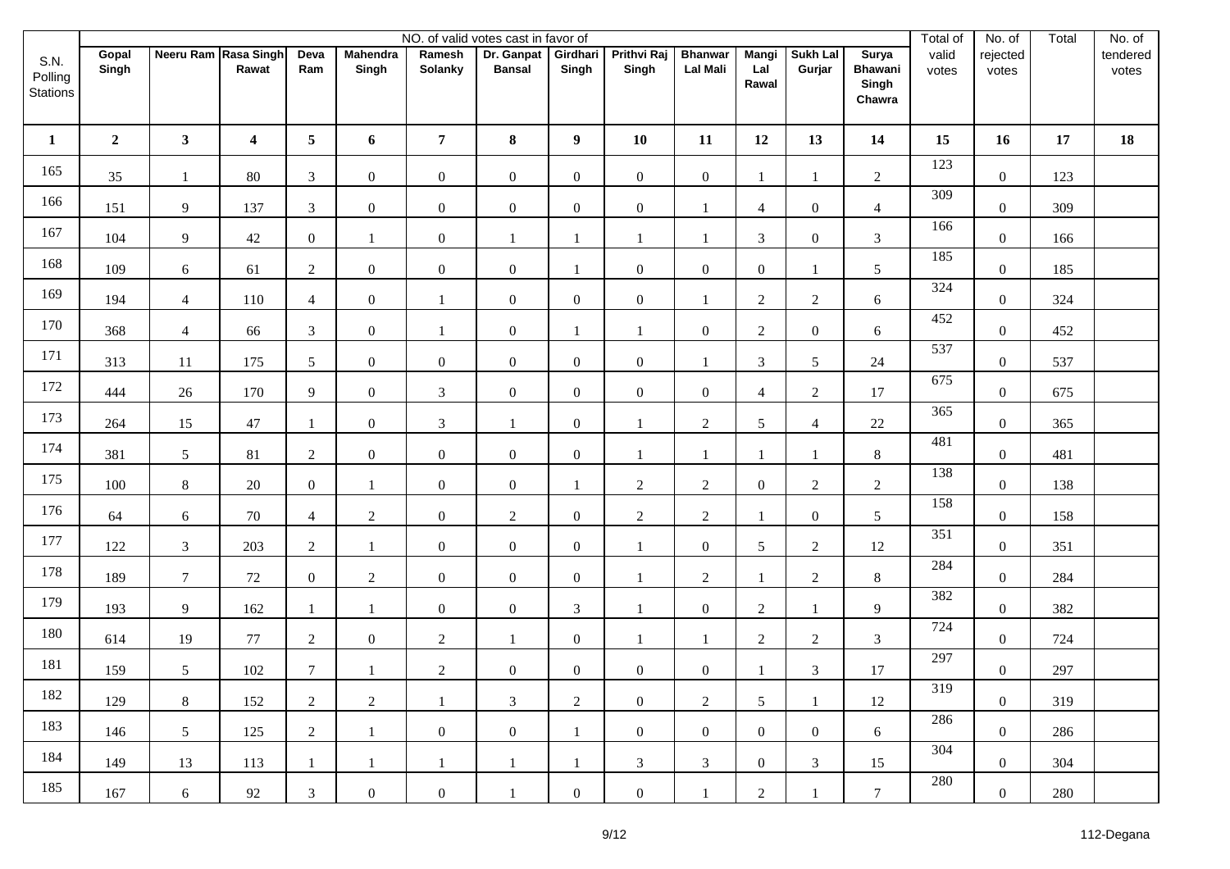|                             |                |                      |                         |                 |                          |                   | NO. of valid votes cast in favor of |                   |                             |                                   |                              |                           |                                            | Total of       | No. of            | Total | No. of            |
|-----------------------------|----------------|----------------------|-------------------------|-----------------|--------------------------|-------------------|-------------------------------------|-------------------|-----------------------------|-----------------------------------|------------------------------|---------------------------|--------------------------------------------|----------------|-------------------|-------|-------------------|
| S.N.<br>Polling<br>Stations | Gopal<br>Singh | Neeru Ram Rasa Singh | Rawat                   | Deva<br>Ram     | <b>Mahendra</b><br>Singh | Ramesh<br>Solanky | Dr. Ganpat<br><b>Bansal</b>         | Girdhari<br>Singh | <b>Prithvi Raj</b><br>Singh | <b>Bhanwar</b><br><b>Lal Mali</b> | <b>Mangi</b><br>Lal<br>Rawal | <b>Sukh Lal</b><br>Gurjar | Surya<br><b>Bhawani</b><br>Singh<br>Chawra | valid<br>votes | rejected<br>votes |       | tendered<br>votes |
| $\mathbf{1}$                | $\mathbf{2}$   | 3 <sup>7</sup>       | $\overline{\mathbf{4}}$ | $5\phantom{.0}$ | 6                        | $\overline{7}$    | 8                                   | $\boldsymbol{9}$  | 10                          | 11                                | 12                           | 13                        | 14                                         | 15             | 16                | 17    | 18                |
| 165                         | 35             | $\mathbf{1}$         | 80                      | $\mathfrak{Z}$  | $\overline{0}$           | $\mathbf{0}$      | $\boldsymbol{0}$                    | $\boldsymbol{0}$  | $\boldsymbol{0}$            | $\overline{0}$                    | $\mathbf{1}$                 | $\mathbf{1}$              | $\sqrt{2}$                                 | 123            | $\mathbf{0}$      | 123   |                   |
| 166                         | 151            | $\overline{9}$       | 137                     | $\mathfrak{Z}$  | $\mathbf{0}$             | $\boldsymbol{0}$  | $\boldsymbol{0}$                    | $\boldsymbol{0}$  | $\boldsymbol{0}$            | $\mathbf{1}$                      | 4                            | $\boldsymbol{0}$          | $\overline{4}$                             | 309            | $\boldsymbol{0}$  | 309   |                   |
| 167                         | 104            | $\overline{9}$       | 42                      | $\overline{0}$  | 1                        | $\mathbf{0}$      | $\mathbf{1}$                        | 1                 | $\mathbf{1}$                | 1                                 | $\mathfrak{Z}$               | $\overline{0}$            | $\mathfrak{Z}$                             | 166            | $\mathbf{0}$      | 166   |                   |
| 168                         | 109            | $\boldsymbol{6}$     | 61                      | $\overline{2}$  | $\boldsymbol{0}$         | $\boldsymbol{0}$  | $\boldsymbol{0}$                    | 1                 | $\boldsymbol{0}$            | $\overline{0}$                    | $\boldsymbol{0}$             | 1                         | $5\phantom{.0}$                            | 185            | $\boldsymbol{0}$  | 185   |                   |
| 169                         | 194            | $\overline{4}$       | 110                     | $\overline{4}$  | $\overline{0}$           | $\mathbf{1}$      | $\boldsymbol{0}$                    | $\boldsymbol{0}$  | $\boldsymbol{0}$            | $\mathbf{1}$                      | $\overline{2}$               | $\overline{2}$            | 6                                          | 324            | $\overline{0}$    | 324   |                   |
| 170                         | 368            | $\overline{4}$       | 66                      | $\overline{3}$  | $\boldsymbol{0}$         | $\mathbf{1}$      | $\boldsymbol{0}$                    |                   | $\mathbf{1}$                | $\boldsymbol{0}$                  | $\sqrt{2}$                   | $\boldsymbol{0}$          | 6                                          | 452            | $\boldsymbol{0}$  | 452   |                   |
| 171                         | 313            | 11                   | 175                     | $5\overline{)}$ | $\overline{0}$           | $\mathbf{0}$      | $\boldsymbol{0}$                    | $\boldsymbol{0}$  | $\mathbf{0}$                | $\mathbf{1}$                      | $\mathfrak{Z}$               | 5                         | 24                                         | 537            | $\mathbf{0}$      | 537   |                   |
| 172                         | 444            | $26\,$               | 170                     | 9               | $\overline{0}$           | $\mathfrak{Z}$    | $\boldsymbol{0}$                    | $\boldsymbol{0}$  | $\boldsymbol{0}$            | $\overline{0}$                    | $\overline{4}$               | $\overline{2}$            | 17                                         | 675            | $\boldsymbol{0}$  | 675   |                   |
| 173                         | 264            | 15                   | 47                      | $\mathbf{1}$    | $\overline{0}$           | $\mathfrak{Z}$    | $\mathbf{1}$                        | $\mathbf{0}$      | $\mathbf{1}$                | $\overline{2}$                    | 5                            | $\overline{4}$            | 22                                         | 365            | $\mathbf{0}$      | 365   |                   |
| 174                         | 381            | $\sqrt{5}$           | 81                      | $\overline{2}$  | $\mathbf{0}$             | $\boldsymbol{0}$  | $\boldsymbol{0}$                    | $\boldsymbol{0}$  | 1                           | $\mathbf{1}$                      | $\mathbf{1}$                 |                           | $8\,$                                      | 481            | $\boldsymbol{0}$  | 481   |                   |
| 175                         | 100            | $8\,$                | $20\,$                  | $\mathbf{0}$    | $\mathbf{1}$             | $\mathbf{0}$      | $\boldsymbol{0}$                    | $\mathbf{1}$      | $\sqrt{2}$                  | $\overline{2}$                    | $\boldsymbol{0}$             | $\sqrt{2}$                | $\sqrt{2}$                                 | 138            | $\mathbf{0}$      | 138   |                   |
| 176                         | 64             | $\sqrt{6}$           | 70                      | $\overline{4}$  | $\overline{2}$           | $\boldsymbol{0}$  | $\overline{2}$                      | $\boldsymbol{0}$  | $\sqrt{2}$                  | $\overline{2}$                    | $\mathbf{1}$                 | $\boldsymbol{0}$          | $5\phantom{.0}$                            | 158            | $\mathbf{0}$      | 158   |                   |
| 177                         | 122            | $\mathfrak{Z}$       | 203                     | $\overline{2}$  | $\mathbf{1}$             | $\mathbf{0}$      | $\boldsymbol{0}$                    | $\boldsymbol{0}$  | $\mathbf{1}$                | $\overline{0}$                    | 5                            | $\overline{2}$            | 12                                         | 351            | $\boldsymbol{0}$  | 351   |                   |
| 178                         | 189            | $\tau$               | 72                      | $\overline{0}$  | $\overline{2}$           | $\mathbf{0}$      | $\boldsymbol{0}$                    | $\boldsymbol{0}$  | 1                           | $\overline{2}$                    |                              | $\overline{2}$            | $8\,$                                      | 284            | $\mathbf{0}$      | 284   |                   |
| 179                         | 193            | $\overline{9}$       | 162                     | $\mathbf{1}$    | $\mathbf{1}$             | $\boldsymbol{0}$  | $\boldsymbol{0}$                    | $\mathfrak{Z}$    | $\mathbf{1}$                | $\overline{0}$                    | $\overline{c}$               | $\mathbf{1}$              | 9                                          | 382            | $\mathbf{0}$      | 382   |                   |
| 180                         | 614            | 19                   | $77\,$                  | $\overline{2}$  | $\overline{0}$           | $\sqrt{2}$        | $\mathbf{1}$                        | $\mathbf{0}$      | 1                           | $\mathbf{1}$                      | $\sqrt{2}$                   | $\overline{2}$            | $\mathfrak{Z}$                             | 724            | $\mathbf{0}$      | 724   |                   |
| 181                         | 159            | $\mathfrak{S}$       | 102                     | $\tau$          | $\mathbf{1}$             | $\sqrt{2}$        | $\mathbf{0}$                        | $\mathbf{0}$      | $\boldsymbol{0}$            | $\boldsymbol{0}$                  | $\mathbf{1}$                 | $\mathfrak{Z}$            | $17\,$                                     | 297            | $\boldsymbol{0}$  | 297   |                   |
| 182                         | 129            | 8                    | 152                     | $\overline{2}$  | $\overline{2}$           | $\mathbf{1}$      | $\mathfrak{Z}$                      | 2                 | $\boldsymbol{0}$            | $\overline{2}$                    | 5                            | 1                         | 12                                         | 319            | $\overline{0}$    | 319   |                   |
| 183                         | 146            | 5                    | 125                     | $\overline{2}$  | $\mathbf{1}$             | $\boldsymbol{0}$  | $\overline{0}$                      | 1                 | $\boldsymbol{0}$            | $\overline{0}$                    | $\boldsymbol{0}$             | $\overline{0}$            | 6                                          | 286            | $\overline{0}$    | 286   |                   |
| 184                         | 149            | 13                   | 113                     | 1               | 1                        | -1                | $\mathbf{1}$                        | 1                 | 3                           | $\mathfrak{Z}$                    | $\boldsymbol{0}$             | 3                         | 15                                         | 304            | $\overline{0}$    | 304   |                   |
| 185                         | 167            | $\epsilon$           | $92\,$                  | $\mathfrak{Z}$  | $\mathbf{0}$             | $\boldsymbol{0}$  | 1                                   | $\boldsymbol{0}$  | $\boldsymbol{0}$            | $\mathbf{1}$                      | $\boldsymbol{2}$             | 1                         | $\tau$                                     | 280            | $\boldsymbol{0}$  | 280   |                   |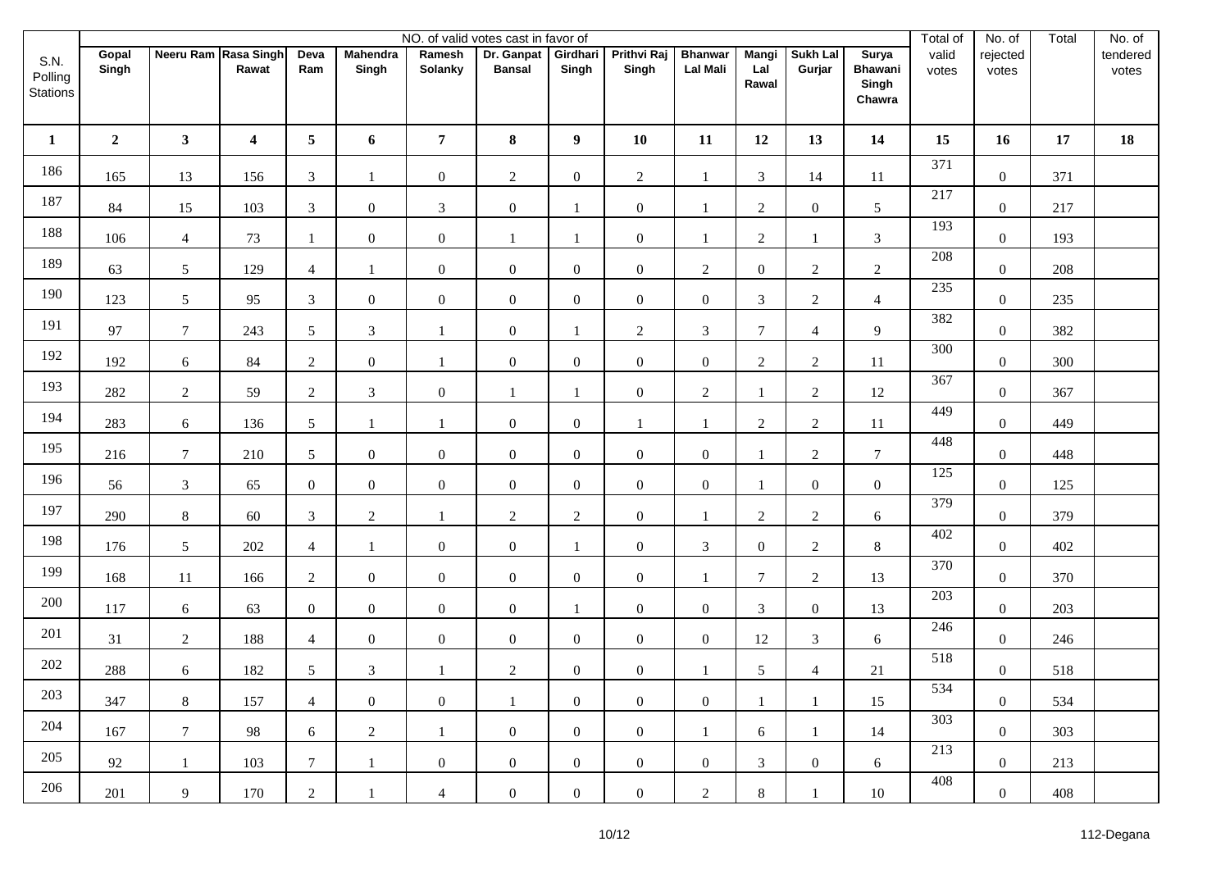|                             |                |                      |                         |                 |                          |                          | NO. of valid votes cast in favor of |                   |                             |                                   |                              |                           |                                            | Total of       | No. of            | Total | No. of            |
|-----------------------------|----------------|----------------------|-------------------------|-----------------|--------------------------|--------------------------|-------------------------------------|-------------------|-----------------------------|-----------------------------------|------------------------------|---------------------------|--------------------------------------------|----------------|-------------------|-------|-------------------|
| S.N.<br>Polling<br>Stations | Gopal<br>Singh | Neeru Ram Rasa Singh | Rawat                   | Deva<br>Ram     | <b>Mahendra</b><br>Singh | Ramesh<br><b>Solanky</b> | Dr. Ganpat<br><b>Bansal</b>         | Girdhari<br>Singh | <b>Prithvi Raj</b><br>Singh | <b>Bhanwar</b><br><b>Lal Mali</b> | <b>Mangi</b><br>Lal<br>Rawal | <b>Sukh Lal</b><br>Gurjar | Surya<br><b>Bhawani</b><br>Singh<br>Chawra | valid<br>votes | rejected<br>votes |       | tendered<br>votes |
| 1                           | $\overline{2}$ | $\mathbf{3}$         | $\overline{\mathbf{4}}$ | $5\overline{)}$ | 6                        | $\overline{7}$           | 8                                   | 9                 | 10                          | 11                                | 12                           | 13                        | 14                                         | 15             | 16                | 17    | 18                |
| 186                         | 165            | 13                   | 156                     | $\mathfrak{Z}$  | $\mathbf{1}$             | $\mathbf{0}$             | $\overline{2}$                      | $\boldsymbol{0}$  | $\sqrt{2}$                  | 1                                 | 3                            | 14                        | 11                                         | 371            | $\mathbf{0}$      | 371   |                   |
| 187                         | 84             | 15                   | 103                     | $\mathfrak{Z}$  | $\mathbf{0}$             | $\mathfrak{Z}$           | $\mathbf{0}$                        | -1                | $\boldsymbol{0}$            | -1                                | $\overline{2}$               | $\boldsymbol{0}$          | $5\phantom{.0}$                            | 217            | $\boldsymbol{0}$  | 217   |                   |
| 188                         | 106            | $\overline{4}$       | 73                      | 1               | $\overline{0}$           | $\mathbf{0}$             | $\mathbf{1}$                        | 1                 | $\boldsymbol{0}$            | 1                                 | $\sqrt{2}$                   | $\mathbf{1}$              | $\mathfrak{Z}$                             | 193            | $\overline{0}$    | 193   |                   |
| 189                         | 63             | $\mathfrak{S}$       | 129                     | $\overline{4}$  | 1                        | $\boldsymbol{0}$         | $\boldsymbol{0}$                    | $\boldsymbol{0}$  | $\boldsymbol{0}$            | $\overline{2}$                    | $\boldsymbol{0}$             | $\overline{c}$            | $\overline{2}$                             | 208            | $\boldsymbol{0}$  | 208   |                   |
| 190                         | 123            | 5                    | 95                      | $\mathfrak{Z}$  | $\overline{0}$           | $\boldsymbol{0}$         | $\boldsymbol{0}$                    | $\boldsymbol{0}$  | $\boldsymbol{0}$            | $\overline{0}$                    | $\mathfrak{Z}$               | $\overline{c}$            | $\overline{4}$                             | 235            | $\overline{0}$    | 235   |                   |
| 191                         | 97             | $\boldsymbol{7}$     | 243                     | 5               | $\mathfrak{Z}$           | $\mathbf{1}$             | $\boldsymbol{0}$                    | $\mathbf{1}$      | $\sqrt{2}$                  | $\mathfrak{Z}$                    | $\boldsymbol{7}$             | $\overline{4}$            | 9                                          | 382            | $\boldsymbol{0}$  | 382   |                   |
| 192                         | 192            | $\sqrt{6}$           | 84                      | $\overline{2}$  | $\overline{0}$           | $\mathbf{1}$             | $\boldsymbol{0}$                    | $\mathbf{0}$      | $\boldsymbol{0}$            | $\overline{0}$                    | $\sqrt{2}$                   | $\overline{2}$            | 11                                         | 300            | $\overline{0}$    | 300   |                   |
| 193                         | 282            | $\sqrt{2}$           | 59                      | $\overline{2}$  | $\mathfrak{Z}$           | $\boldsymbol{0}$         | $\mathbf{1}$                        | 1                 | $\boldsymbol{0}$            | $\overline{2}$                    | $\mathbf{1}$                 | $\overline{2}$            | 12                                         | 367            | $\boldsymbol{0}$  | 367   |                   |
| 194                         | 283            | $\sqrt{6}$           | 136                     | $5\overline{)}$ | $\mathbf{1}$             | $\mathbf{1}$             | $\boldsymbol{0}$                    | $\mathbf{0}$      | $\mathbf{1}$                | $\mathbf{1}$                      | $\sqrt{2}$                   | $\overline{c}$            | 11                                         | 449            | $\boldsymbol{0}$  | 449   |                   |
| 195                         | 216            | $\boldsymbol{7}$     | 210                     | 5 <sup>5</sup>  | $\boldsymbol{0}$         | $\boldsymbol{0}$         | $\boldsymbol{0}$                    | $\boldsymbol{0}$  | $\boldsymbol{0}$            | $\boldsymbol{0}$                  |                              | $\overline{c}$            | $\tau$                                     | 448            | $\boldsymbol{0}$  | 448   |                   |
| 196                         | 56             | $\mathfrak{Z}$       | 65                      | $\overline{0}$  | $\overline{0}$           | $\boldsymbol{0}$         | $\boldsymbol{0}$                    | $\mathbf{0}$      | $\boldsymbol{0}$            | $\overline{0}$                    | $\mathbf{1}$                 | $\boldsymbol{0}$          | $\boldsymbol{0}$                           | 125            | $\overline{0}$    | 125   |                   |
| 197                         | 290            | $\,8\,$              | 60                      | $\mathfrak{Z}$  | $\overline{2}$           | $\mathbf{1}$             | $\overline{2}$                      | $\overline{2}$    | $\boldsymbol{0}$            | $\mathbf{1}$                      | $\mathbf{2}$                 | $\overline{2}$            | 6                                          | 379            | $\boldsymbol{0}$  | 379   |                   |
| 198                         | 176            | 5                    | 202                     | $\overline{4}$  | $\mathbf{1}$             | $\boldsymbol{0}$         | $\boldsymbol{0}$                    | $\mathbf{1}$      | $\boldsymbol{0}$            | $\overline{3}$                    | $\boldsymbol{0}$             | $\overline{2}$            | $8\,$                                      | 402            | $\mathbf{0}$      | 402   |                   |
| 199                         | 168            | $11\,$               | 166                     | $\overline{2}$  | $\boldsymbol{0}$         | $\boldsymbol{0}$         | $\boldsymbol{0}$                    | $\boldsymbol{0}$  | $\boldsymbol{0}$            | $\overline{1}$                    | $\tau$                       | $\overline{2}$            | 13                                         | 370            | $\boldsymbol{0}$  | 370   |                   |
| 200                         | 117            | $\sqrt{6}$           | 63                      | $\mathbf{0}$    | $\overline{0}$           | $\boldsymbol{0}$         | $\mathbf{0}$                        | 1                 | $\boldsymbol{0}$            | $\overline{0}$                    | $\mathfrak{Z}$               | $\boldsymbol{0}$          | 13                                         | 203            | $\mathbf{0}$      | 203   |                   |
| 201                         | 31             | $\overline{2}$       | 188                     | $\overline{4}$  | $\overline{0}$           | $\mathbf{0}$             | $\mathbf{0}$                        | $\mathbf{0}$      | $\boldsymbol{0}$            | $\overline{0}$                    | 12                           | $\mathfrak{Z}$            | 6                                          | 246            | $\boldsymbol{0}$  | 246   |                   |
| 202                         | 288            | $\sqrt{6}$           | 182                     | $5\overline{)}$ | $\mathfrak{Z}$           | $\mathbf{1}$             | $\sqrt{2}$                          | $\mathbf{0}$      | $\boldsymbol{0}$            |                                   | 5                            | $\overline{4}$            | 21                                         | 518            | $\boldsymbol{0}$  | 518   |                   |
| 203                         | 347            | $8\,$                | 157                     | $\overline{4}$  | $\boldsymbol{0}$         | $\boldsymbol{0}$         | 1                                   | $\boldsymbol{0}$  | $\boldsymbol{0}$            | $\overline{0}$                    | $\mathbf{1}$                 | 1                         | 15                                         | 534            | $\mathbf{0}$      | 534   |                   |
| 204                         | 167            | $\overline{7}$       | 98                      | 6               | $\overline{2}$           | -1                       | $\overline{0}$                      | $\boldsymbol{0}$  | $\boldsymbol{0}$            | 1                                 | 6                            | 1                         | 14                                         | 303            | $\mathbf{0}$      | 303   |                   |
| 205                         | 92             | $\mathbf{1}$         | 103                     | $7\phantom{.0}$ | 1                        | $\boldsymbol{0}$         | $\overline{0}$                      | $\boldsymbol{0}$  | $\boldsymbol{0}$            | $\overline{0}$                    | 3                            | $\overline{0}$            | 6                                          | 213            | $\mathbf{0}$      | 213   |                   |
| 206                         | 201            | 9                    | 170                     | $\overline{2}$  | $\mathbf{1}$             | $\overline{4}$           | $\overline{0}$                      | $\mathbf{0}$      | $\boldsymbol{0}$            | $\overline{2}$                    | $8\phantom{.}$               | 1                         | 10                                         | 408            | $\mathbf{0}$      | 408   |                   |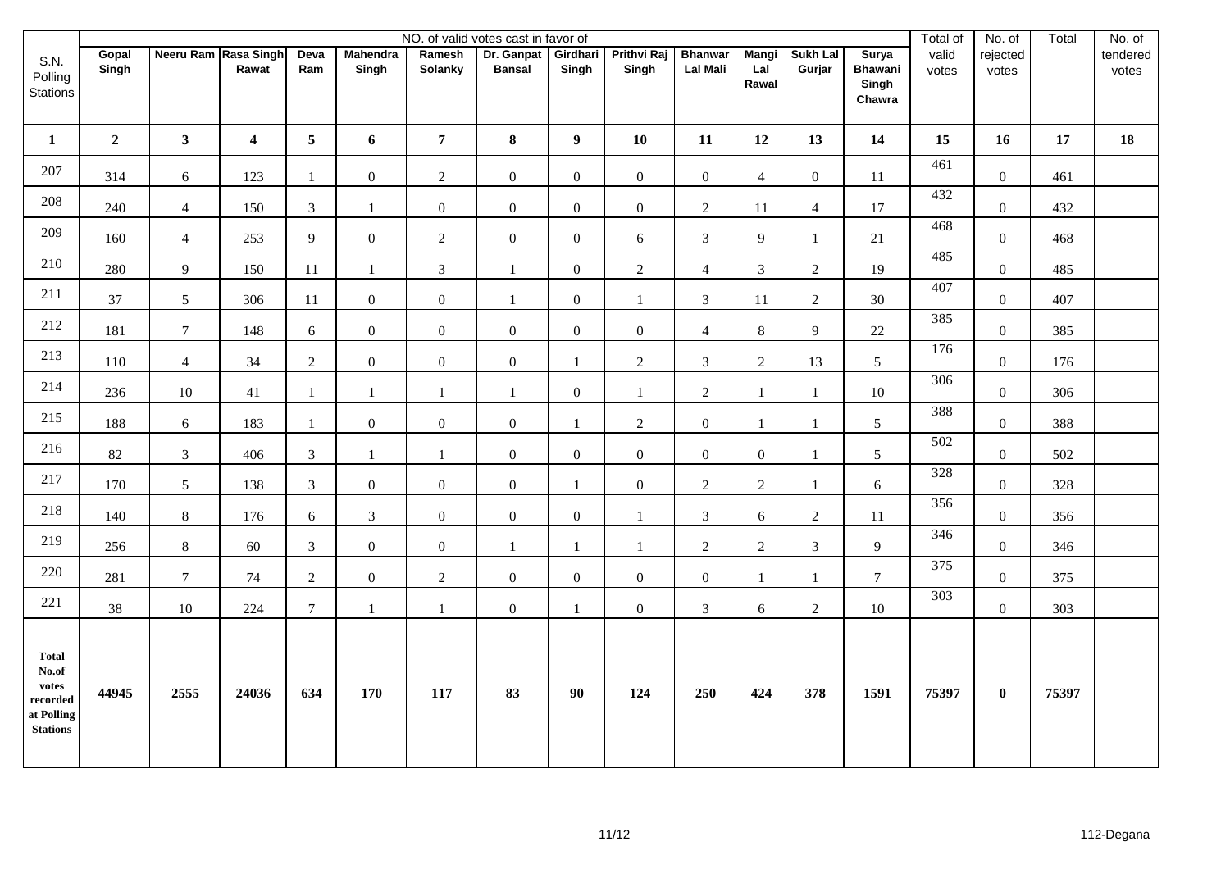|                                                                                                                                                                          |                |                      |                         |                |                          |                   | NO. of valid votes cast in favor of |                   |                             |                            |                       |                    |                                                   | Total of       | No. of            | Total  | No. of            |
|--------------------------------------------------------------------------------------------------------------------------------------------------------------------------|----------------|----------------------|-------------------------|----------------|--------------------------|-------------------|-------------------------------------|-------------------|-----------------------------|----------------------------|-----------------------|--------------------|---------------------------------------------------|----------------|-------------------|--------|-------------------|
| S.N.<br>Polling<br><b>Stations</b>                                                                                                                                       | Gopal<br>Singh | Neeru Ram Rasa Singh | Rawat                   | Deva<br>Ram    | <b>Mahendra</b><br>Singh | Ramesh<br>Solanky | Dr. Ganpat<br><b>Bansal</b>         | Girdhari<br>Singh | <b>Prithvi Raj</b><br>Singh | <b>Bhanwar</b><br>Lal Mali | Mangi<br>Lal<br>Rawal | Sukh Lal<br>Gurjar | <b>Surya</b><br><b>Bhawani</b><br>Singh<br>Chawra | valid<br>votes | rejected<br>votes |        | tendered<br>votes |
| $\mathbf{1}$                                                                                                                                                             | $\overline{2}$ | $\mathbf{3}$         | $\overline{\mathbf{4}}$ | 5 <sup>5</sup> | 6                        | $\overline{7}$    | 8                                   | $\boldsymbol{9}$  | 10                          | 11                         | 12                    | 13                 | 14                                                | 15             | 16                | $17\,$ | 18                |
| 207                                                                                                                                                                      | 314            | 6                    | 123                     |                | $\mathbf{0}$             | $\sqrt{2}$        | $\boldsymbol{0}$                    | $\boldsymbol{0}$  | $\boldsymbol{0}$            | $\mathbf{0}$               | $\overline{4}$        | $\overline{0}$     | $11\,$                                            | 461            | $\overline{0}$    | 461    |                   |
| 208                                                                                                                                                                      | 240            | $\overline{4}$       | 150                     | $\overline{3}$ | $\mathbf{1}$             | $\mathbf{0}$      | $\boldsymbol{0}$                    | $\overline{0}$    | $\boldsymbol{0}$            | $\overline{2}$             | 11                    | $\overline{4}$     | 17                                                | 432            | $\overline{0}$    | 432    |                   |
| 209                                                                                                                                                                      | 160            | $\overline{4}$       | 253                     | 9              | $\mathbf{0}$             | $\sqrt{2}$        | $\boldsymbol{0}$                    | $\boldsymbol{0}$  | $6\,$                       | $\mathfrak{Z}$             | 9                     | $\mathbf{1}$       | $21\,$                                            | 468            | $\boldsymbol{0}$  | 468    |                   |
| 210                                                                                                                                                                      | 280            | 9                    | 150                     | 11             | 1                        | $\mathfrak{Z}$    | $\mathbf{1}$                        | $\boldsymbol{0}$  | $\sqrt{2}$                  | $\overline{4}$             | $\mathfrak{Z}$        | $\sqrt{2}$         | 19                                                | 485            | $\overline{0}$    | 485    |                   |
| 211                                                                                                                                                                      | 37             | 5                    | 306                     | 11             | $\mathbf{0}$             | $\mathbf{0}$      | $\mathbf{1}$                        | $\mathbf{0}$      | 1                           | 3                          | 11                    | $\overline{c}$     | 30                                                | 407            | $\overline{0}$    | 407    |                   |
| 212                                                                                                                                                                      | 181            | $\tau$               | 148                     | 6              | $\mathbf{0}$             | $\boldsymbol{0}$  | $\boldsymbol{0}$                    | $\overline{0}$    | $\boldsymbol{0}$            | $\overline{4}$             | $\,8\,$               | 9                  | $22\,$                                            | 385            | $\overline{0}$    | 385    |                   |
| 213                                                                                                                                                                      | 110            | $\overline{4}$       | 34                      | $\overline{2}$ | $\mathbf{0}$             | $\overline{0}$    | $0\,$                               | 1                 | $\sqrt{2}$                  | $\overline{3}$             | $\sqrt{2}$            | 13                 | $5\overline{)}$                                   | 176            | $\boldsymbol{0}$  | 176    |                   |
| 214                                                                                                                                                                      | 236            | $10\,$               | 41                      | $\mathbf{1}$   | $\mathbf{1}$             | $\mathbf{1}$      | $\mathbf{1}$                        | $\mathbf{0}$      | $\mathbf{1}$                | $\overline{2}$             | $\mathbf{1}$          | $\mathbf{1}$       | 10                                                | 306            | $\mathbf{0}$      | 306    |                   |
| 215                                                                                                                                                                      | 188            | 6                    | 183                     | $\mathbf{1}$   | $\mathbf{0}$             | $\mathbf{0}$      | $\boldsymbol{0}$                    | $\mathbf{1}$      | $\overline{2}$              | $\overline{0}$             | -1                    | $\mathbf{1}$       | 5                                                 | 388            | $\overline{0}$    | 388    |                   |
| 216                                                                                                                                                                      | $82\,$         | $\mathfrak 3$        | 406                     | $\mathfrak{Z}$ | $\mathbf{1}$             | $\mathbf{1}$      | $\boldsymbol{0}$                    | $\boldsymbol{0}$  | $\boldsymbol{0}$            | $\overline{0}$             | $\boldsymbol{0}$      | $\mathbf{1}$       | $\sqrt{5}$                                        | 502            | $\boldsymbol{0}$  | 502    |                   |
| 217                                                                                                                                                                      | 170            | $\mathfrak{S}$       | 138                     | $\mathfrak{Z}$ | $\mathbf{0}$             | $\boldsymbol{0}$  | $\boldsymbol{0}$                    | $\mathbf{1}$      | $\boldsymbol{0}$            | $\overline{2}$             | $\sqrt{2}$            | $\mathbf{1}$       | $\sqrt{6}$                                        | 328            | $\mathbf{0}$      | 328    |                   |
| 218                                                                                                                                                                      | 140            | $\,8\,$              | 176                     | 6              | $\mathfrak{Z}$           | $\boldsymbol{0}$  | $\boldsymbol{0}$                    | $\boldsymbol{0}$  | $\mathbf{1}$                | 3                          | 6                     | $\overline{2}$     | 11                                                | 356            | $\mathbf{0}$      | 356    |                   |
| 219                                                                                                                                                                      | 256            | $\,8\,$              | 60                      | $\mathfrak{Z}$ | $\mathbf{0}$             | $\mathbf{0}$      | 1                                   | $\mathbf{1}$      | $\mathbf{1}$                | $\overline{2}$             | $\sqrt{2}$            | $\mathfrak{Z}$     | 9                                                 | 346            | $\boldsymbol{0}$  | 346    |                   |
| 220                                                                                                                                                                      | 281            | $\overline{7}$       | $74\,$                  | $\overline{2}$ | $\mathbf{0}$             | $\overline{2}$    | $\boldsymbol{0}$                    | $\boldsymbol{0}$  | $\boldsymbol{0}$            | $\overline{0}$             | $\mathbf{1}$          | $\mathbf{1}$       | $7\phantom{.0}$                                   | 375            | $\boldsymbol{0}$  | 375    |                   |
| 221                                                                                                                                                                      | 38             | 10                   | 224                     | $\tau$         | 1                        | 1                 | $\boldsymbol{0}$                    | $\mathbf{1}$      | $\boldsymbol{0}$            | $\mathfrak{Z}$             | 6                     | $\overline{c}$     | 10                                                | 303            | $\mathbf{0}$      | 303    |                   |
| <b>Total</b><br>No.of<br>votes<br>$\bold{re} \boldsymbol{c} \boldsymbol{o} \boldsymbol{r} \boldsymbol{d} \boldsymbol{e} \boldsymbol{d}$<br>at Polling<br><b>Stations</b> | 44945          | 2555                 | 24036                   | 634            | 170                      | 117               | 83                                  | 90                | 124                         | 250                        | 424                   | 378                | 1591                                              | 75397          | $\pmb{0}$         | 75397  |                   |